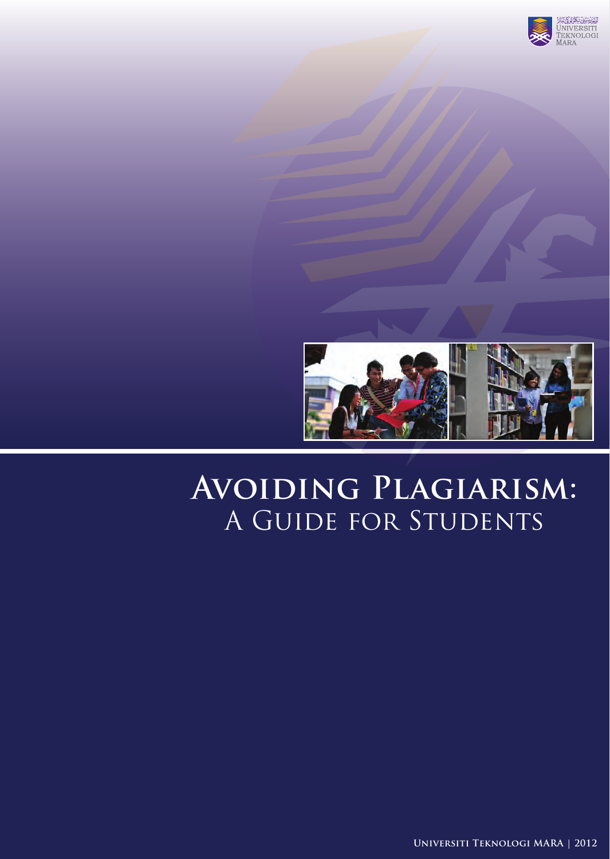



# **Avoiding Plagiarism:** A Guide for Students

**Universiti Teknologi MARA | 2012**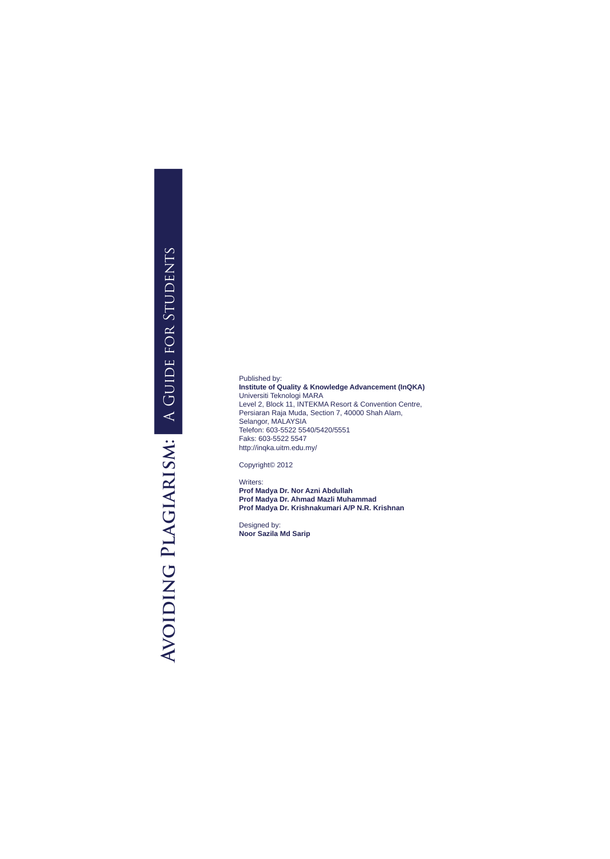# AVOIDING PLAGIARISM: A GUIDE FOR STUDENTS **Avoiding Plagiarism:** A Guide for Students

Published by: **Institute of Quality & Knowledge Advancement (InQKA)** Universiti Teknologi MARA Level 2, Block 11, INTEKMA Resort & Convention Centre, Persiaran Raja Muda, Section 7, 40000 Shah Alam, Selangor, MALAYSIA Telefon: 603-5522 5540/5420/5551 Faks: 603-5522 5547 http://inqka.uitm.edu.my/

Copyright© 2012

Writers: **Prof Madya Dr. Nor Azni Abdullah Prof Madya Dr. Ahmad Mazli Muhammad Prof Madya Dr. Krishnakumari A/P N.R. Krishnan**

Designed by: **Noor Sazila Md Sarip**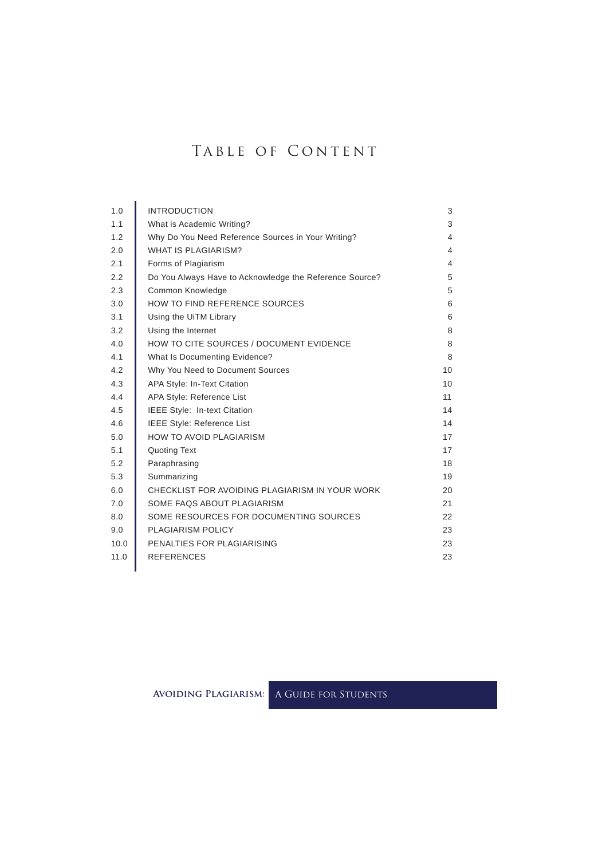## TABLE OF CONTENT

| 1.0  | <b>INTRODUCTION</b>                                     | 3               |
|------|---------------------------------------------------------|-----------------|
| 1.1  | What is Academic Writing?                               | 3               |
| 1.2  | Why Do You Need Reference Sources in Your Writing?      | 4               |
| 2.0  | <b>WHAT IS PLAGIARISM?</b>                              | 4               |
| 2.1  | Forms of Plagiarism                                     | 4               |
| 2.2  | Do You Always Have to Acknowledge the Reference Source? | 5               |
| 2.3  | Common Knowledge                                        | 5               |
| 3.0  | HOW TO FIND REFERENCE SOURCES                           | 6               |
| 3.1  | Using the UiTM Library                                  | 6               |
| 3.2  | Using the Internet                                      | 8               |
| 4.0  | HOW TO CITE SOURCES / DOCUMENT EVIDENCE                 | 8               |
| 4.1  | What Is Documenting Evidence?                           | 8               |
| 4.2  | Why You Need to Document Sources                        | 10 <sup>1</sup> |
| 4.3  | APA Style: In-Text Citation                             | 10              |
| 4.4  | APA Style: Reference List                               | 11              |
| 4.5  | IEEE Style: In-text Citation                            | 14              |
| 4.6  | <b>IEEE Style: Reference List</b>                       | 14              |
| 5.0  | <b>HOW TO AVOID PLAGIARISM</b>                          | 17              |
| 5.1  | <b>Quoting Text</b>                                     | 17              |
| 5.2  | Paraphrasing                                            | 18              |
| 5.3  | Summarizing                                             | 19              |
| 6.0  | CHECKLIST FOR AVOIDING PLAGIARISM IN YOUR WORK          | 20              |
| 7.0  | SOME FAQS ABOUT PLAGIARISM                              | 21              |
| 8.0  | SOME RESOURCES FOR DOCUMENTING SOURCES                  | 22              |
| 9.0  | <b>PLAGIARISM POLICY</b>                                | 23              |
| 10.0 | PENALTIES FOR PLAGIARISING                              | 23              |
| 11.0 | <b>REFERENCES</b>                                       | 23              |

**Avoiding Plagiarism:** A Guide for Students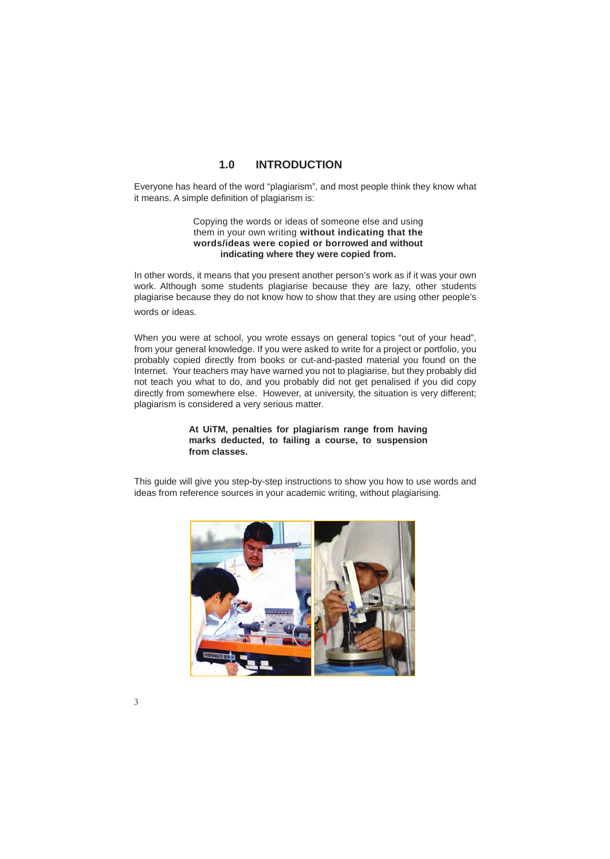### **1.0 INTRODUCTION**

Everyone has heard of the word "plagiarism", and most people think they know what it means. A simple definition of plagiarism is:

### Copying the words or ideas of someone else and using them in your own writing **without indicating that the words/ideas were copied or borrowed and without indicating where they were copied from.**

In other words, it means that you present another person's work as if it was your own work. Although some students plagiarise because they are lazy, other students plagiarise because they do not know how to show that they are using other people's words or ideas.

When you were at school, you wrote essays on general topics "out of your head", from your general knowledge. If you were asked to write for a project or portfolio, you probably copied directly from books or cut-and-pasted material you found on the Internet. Your teachers may have warned you not to plagiarise, but they probably did not teach you what to do, and you probably did not get penalised if you did copy directly from somewhere else. However, at university, the situation is very different; plagiarism is considered a very serious matter.

### **At UiTM, penalties for plagiarism range from having marks deducted, to failing a course, to suspension from classes.**

This guide will give you step-by-step instructions to show you how to use words and ideas from reference sources in your academic writing, without plagiarising.

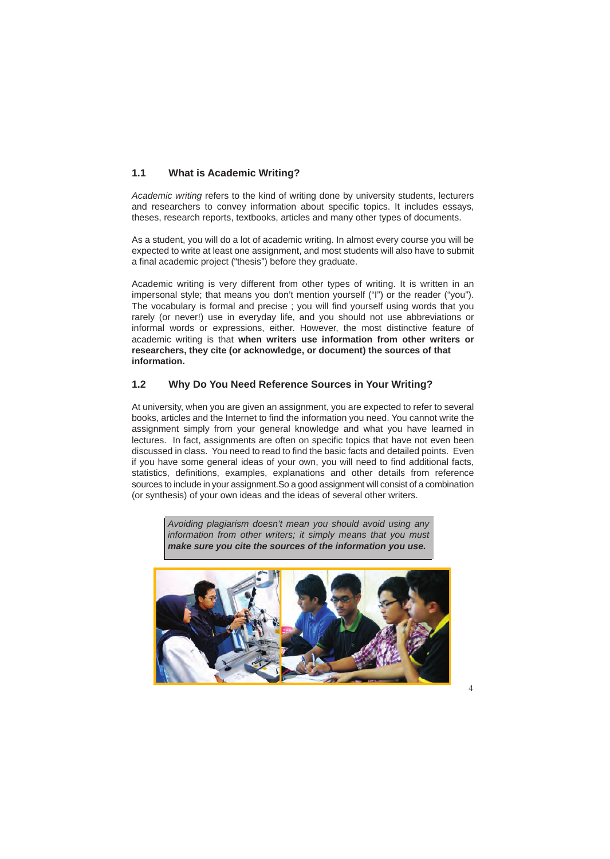### **1.1 What is Academic Writing?**

*Academic writing* refers to the kind of writing done by university students, lecturers and researchers to convey information about specific topics. It includes essays, theses, research reports, textbooks, articles and many other types of documents.

As a student, you will do a lot of academic writing. In almost every course you will be expected to write at least one assignment, and most students will also have to submit a final academic project ("thesis") before they graduate.

Academic writing is very different from other types of writing. It is written in an impersonal style; that means you don't mention yourself ("I") or the reader ("you"). The vocabulary is formal and precise ; you will find yourself using words that you rarely (or never!) use in everyday life, and you should not use abbreviations or informal words or expressions, either. However, the most distinctive feature of academic writing is that **when writers use information from other writers or researchers, they cite (or acknowledge, or document) the sources of that information.**

### **1.2 Why Do You Need Reference Sources in Your Writing?**

At university, when you are given an assignment, you are expected to refer to several books, articles and the Internet to find the information you need. You cannot write the assignment simply from your general knowledge and what you have learned in lectures. In fact, assignments are often on specific topics that have not even been discussed in class. You need to read to find the basic facts and detailed points. Even if you have some general ideas of your own, you will need to find additional facts, statistics, definitions, examples, explanations and other details from reference sources to include in your assignment.So a good assignment will consist of a combination (or synthesis) of your own ideas and the ideas of several other writers.

> *Avoiding plagiarism doesn't mean you should avoid using any information from other writers; it simply means that you must make sure you cite the sources of the information you use.*

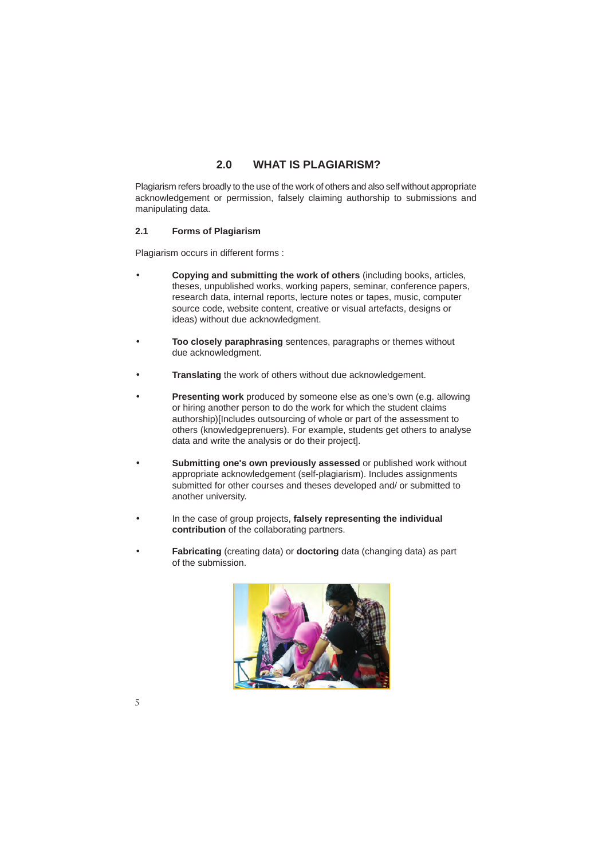### **2.0 WHAT IS PLAGIARISM?**

Plagiarism refers broadly to the use of the work of others and also self without appropriate acknowledgement or permission, falsely claiming authorship to submissions and manipulating data.

### **2.1 Forms of Plagiarism**

Plagiarism occurs in different forms :

- **Copying and submitting the work of others** (including books, articles, theses, unpublished works, working papers, seminar, conference papers, research data, internal reports, lecture notes or tapes, music, computer source code, website content, creative or visual artefacts, designs or ideas) without due acknowledgment.
- **Too closely paraphrasing** sentences, paragraphs or themes without due acknowledgment.
- **Translating** the work of others without due acknowledgement.
- **Presenting work** produced by someone else as one's own (e.g. allowing or hiring another person to do the work for which the student claims authorship)[Includes outsourcing of whole or part of the assessment to others (knowledgeprenuers). For example, students get others to analyse data and write the analysis or do their project].
- **Submitting one's own previously assessed** or published work without appropriate acknowledgement (self-plagiarism). Includes assignments submitted for other courses and theses developed and/ or submitted to another university.
- In the case of group projects, **falsely representing the individual contribution** of the collaborating partners.
- **Fabricating** (creating data) or **doctoring** data (changing data) as part of the submission.

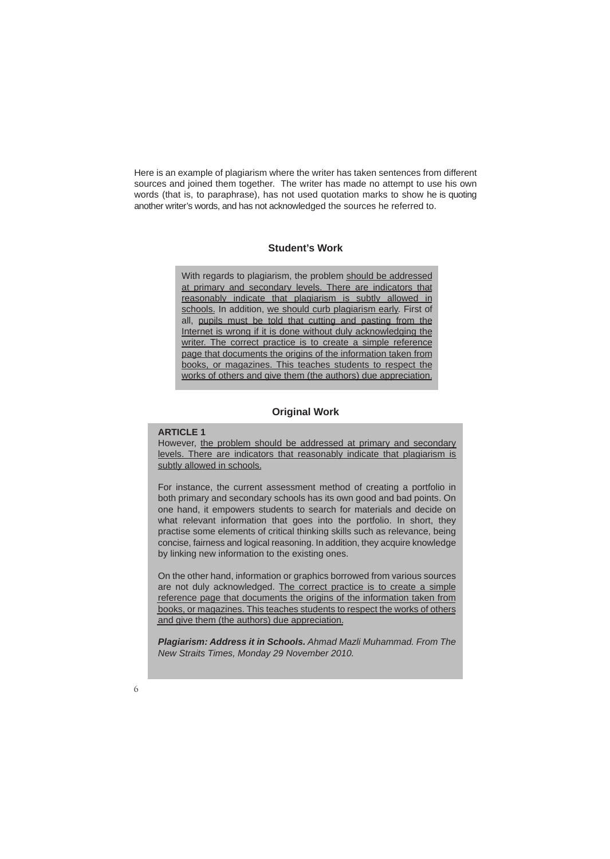Here is an example of plagiarism where the writer has taken sentences from different sources and joined them together. The writer has made no attempt to use his own words (that is, to paraphrase), has not used quotation marks to show he is quoting another writer's words, and has not acknowledged the sources he referred to.

### **Student's Work**

With regards to plagiarism, the problem should be addressed at primary and secondary levels. There are indicators that reasonably indicate that plagiarism is subtly allowed in schools. In addition, we should curb plagiarism early. First of all, pupils must be told that cutting and pasting from the Internet is wrong if it is done without duly acknowledging the writer. The correct practice is to create a simple reference page that documents the origins of the information taken from books, or magazines. This teaches students to respect the works of others and give them (the authors) due appreciation.

### **Original Work**

### **ARTICLE 1**

However, the problem should be addressed at primary and secondary levels. There are indicators that reasonably indicate that plagiarism is subtly allowed in schools.

For instance, the current assessment method of creating a portfolio in both primary and secondary schools has its own good and bad points. On one hand, it empowers students to search for materials and decide on what relevant information that goes into the portfolio. In short, they practise some elements of critical thinking skills such as relevance, being concise, fairness and logical reasoning. In addition, they acquire knowledge by linking new information to the existing ones.

On the other hand, information or graphics borrowed from various sources are not duly acknowledged. The correct practice is to create a simple reference page that documents the origins of the information taken from books, or magazines. This teaches students to respect the works of others and give them (the authors) due appreciation.

*Plagiarism: Address it in Schools. Ahmad Mazli Muhammad. From The New Straits Times, Monday 29 November 2010.*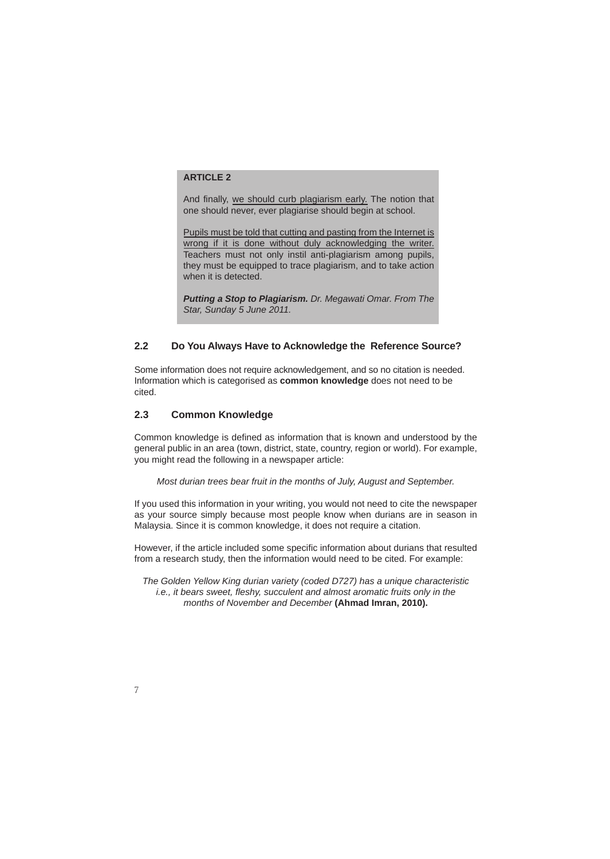### **ARTICLE 2**

And finally, we should curb plagiarism early. The notion that one should never, ever plagiarise should begin at school.

Pupils must be told that cutting and pasting from the Internet is wrong if it is done without duly acknowledging the writer. Teachers must not only instil anti-plagiarism among pupils, they must be equipped to trace plagiarism, and to take action when it is detected.

*Putting a Stop to Plagiarism. Dr. Megawati Omar. From The Star, Sunday 5 June 2011.* 

### **2.2 Do You Always Have to Acknowledge the Reference Source?**

Some information does not require acknowledgement, and so no citation is needed. Information which is categorised as **common knowledge** does not need to be cited.

### **2.3 Common Knowledge**

Common knowledge is defined as information that is known and understood by the general public in an area (town, district, state, country, region or world). For example, you might read the following in a newspaper article:

*Most durian trees bear fruit in the months of July, August and September.* 

If you used this information in your writing, you would not need to cite the newspaper as your source simply because most people know when durians are in season in Malaysia. Since it is common knowledge, it does not require a citation.

However, if the article included some specific information about durians that resulted from a research study, then the information would need to be cited. For example:

*The Golden Yellow King durian variety (coded D727) has a unique characteristic i.e., it bears sweet, fleshy, succulent and almost aromatic fruits only in the months of November and December* **(Ahmad Imran, 2010).**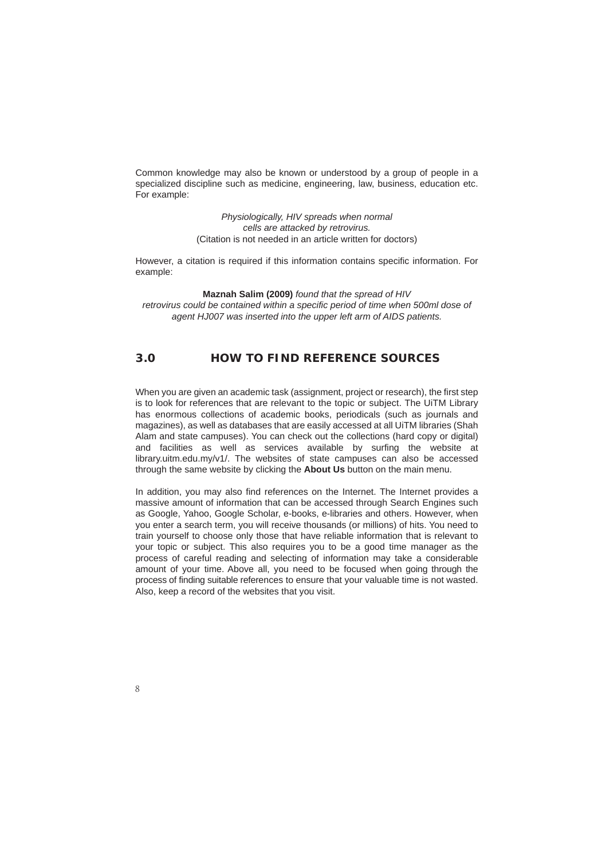Common knowledge may also be known or understood by a group of people in a specialized discipline such as medicine, engineering, law, business, education etc. For example:

> *Physiologically, HIV spreads when normal cells are attacked by retrovirus.*  (Citation is not needed in an article written for doctors)

However, a citation is required if this information contains specific information. For example:

**Maznah Salim (2009)** *found that the spread of HIV retrovirus could be contained within a specific period of time when 500ml dose of agent HJ007 was inserted into the upper left arm of AIDS patients.*

### **3.0 HOW TO FIND REFERENCE SOURCES**

When you are given an academic task (assignment, project or research), the first step is to look for references that are relevant to the topic or subject. The UiTM Library has enormous collections of academic books, periodicals (such as journals and magazines), as well as databases that are easily accessed at all UiTM libraries (Shah Alam and state campuses). You can check out the collections (hard copy or digital) and facilities as well as services available by surfing the website at library.uitm.edu.my/v1/. The websites of state campuses can also be accessed through the same website by clicking the **About Us** button on the main menu.

In addition, you may also find references on the Internet. The Internet provides a massive amount of information that can be accessed through Search Engines such as Google, Yahoo, Google Scholar, e-books, e-libraries and others. However, when you enter a search term, you will receive thousands (or millions) of hits. You need to train yourself to choose only those that have reliable information that is relevant to your topic or subject. This also requires you to be a good time manager as the process of careful reading and selecting of information may take a considerable amount of your time. Above all, you need to be focused when going through the process of finding suitable references to ensure that your valuable time is not wasted. Also, keep a record of the websites that you visit.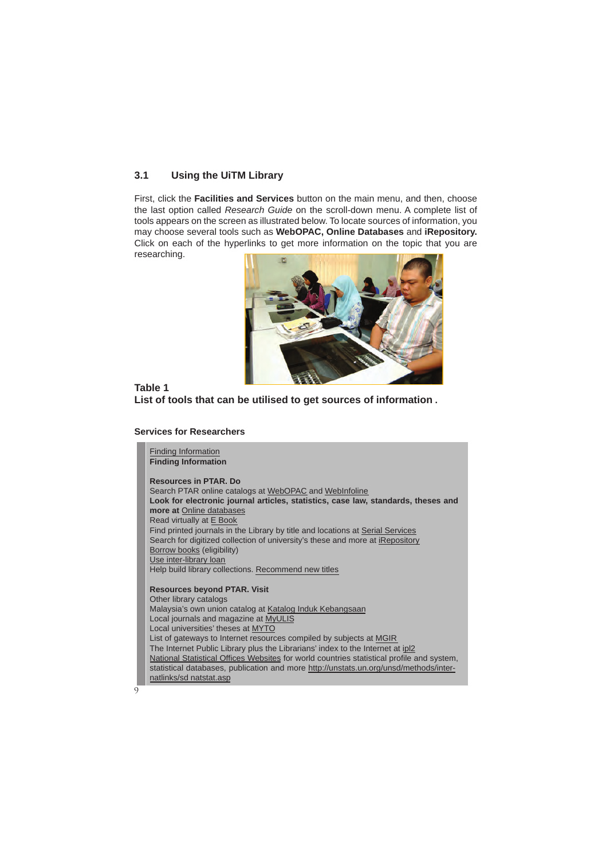### **3.1 Using the UiTM Library**

First, click the **Facilities and Services** button on the main menu, and then, choose the last option called *Research Guide* on the scroll-down menu. A complete list of tools appears on the screen as illustrated below. To locate sources of information, you may choose several tools such as **WebOPAC, Online Databases** and **iRepository.** Click on each of the hyperlinks to get more information on the topic that you are researching.



### **Table 1 List of tools that can be utilised to get sources of information .**

### **Services for Researchers**

Finding Information **Finding Information Resources in PTAR. Do** Search PTAR online catalogs at WebOPAC and WebInfoline **Look for electronic journal articles, statistics, case law, standards, theses and more at** Online databases Read virtually at E Book Find printed journals in the Library by title and locations at Serial Services Search for digitized collection of university's these and more at iRepository Borrow books (eligibility) Use inter-library loan Help build library collections. Recommend new titles **Resources beyond PTAR. Visit** Other library catalogs Malaysia's own union catalog at Katalog Induk Kebangsaan Local journals and magazine at MyULIS Local universities' theses at MYTO List of gateways to Internet resources compiled by subjects at MGIR The Internet Public Library plus the Librarians' index to the Internet at ipl2 National Statistical Offices Websites for world countries statistical profile and system, statistical databases, publication and more http://unstats.un.org/unsd/methods/internatlinks/sd natstat.asp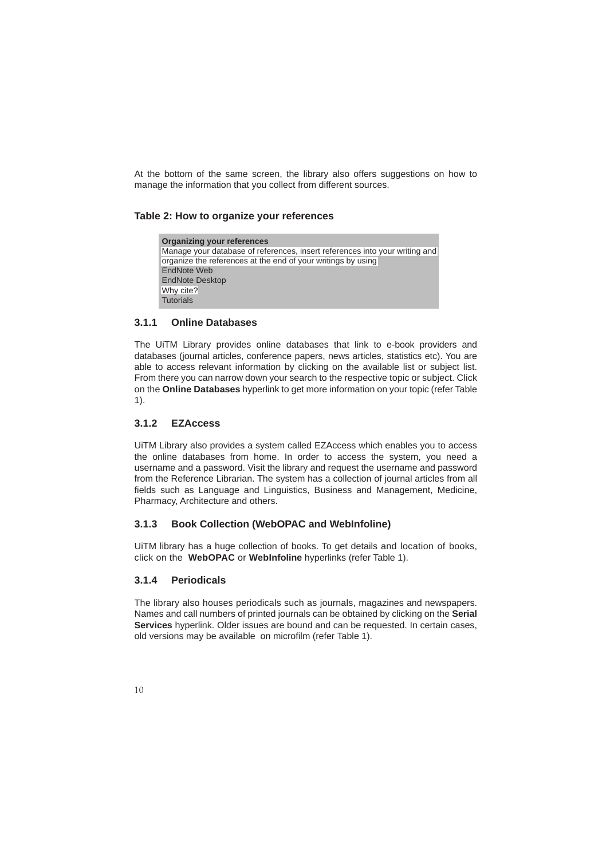At the bottom of the same screen, the library also offers suggestions on how to manage the information that you collect from different sources.

### **Table 2: How to organize your references**

| <b>Organizing your references</b>                                           |  |  |
|-----------------------------------------------------------------------------|--|--|
| Manage your database of references, insert references into your writing and |  |  |
| organize the references at the end of your writings by using                |  |  |
| EndNote Web                                                                 |  |  |
| <b>EndNote Desktop</b>                                                      |  |  |
| Why cite?                                                                   |  |  |
| <b>Tutorials</b>                                                            |  |  |

### **3.1.1 Online Databases**

The UiTM Library provides online databases that link to e-book providers and databases (journal articles, conference papers, news articles, statistics etc). You are able to access relevant information by clicking on the available list or subject list. From there you can narrow down your search to the respective topic or subject. Click on the **Online Databases** hyperlink to get more information on your topic (refer Table 1).

### **3.1.2 EZAccess**

UiTM Library also provides a system called EZAccess which enables you to access the online databases from home. In order to access the system, you need a username and a password. Visit the library and request the username and password from the Reference Librarian. The system has a collection of journal articles from all fields such as Language and Linguistics, Business and Management, Medicine, Pharmacy, Architecture and others.

### **3.1.3 Book Collection (WebOPAC and WebInfoline)**

UiTM library has a huge collection of books. To get details and location of books, click on the **WebOPAC** or **WebInfoline** hyperlinks (refer Table 1).

### **3.1.4 Periodicals**

The library also houses periodicals such as journals, magazines and newspapers. Names and call numbers of printed journals can be obtained by clicking on the **Serial Services** hyperlink. Older issues are bound and can be requested. In certain cases, old versions may be available on microfilm (refer Table 1).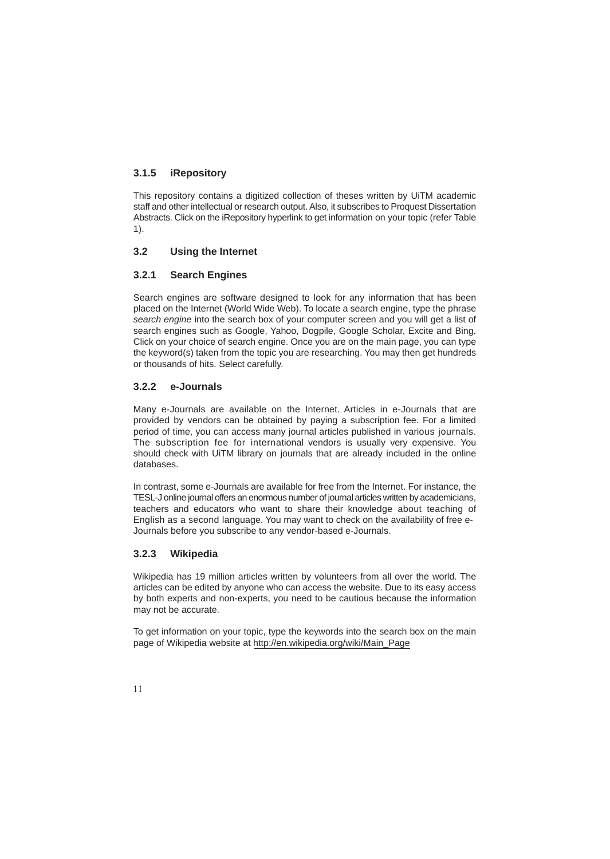### **3.1.5 iRepository**

This repository contains a digitized collection of theses written by UiTM academic staff and other intellectual or research output. Also, it subscribes to Proquest Dissertation Abstracts. Click on the iRepository hyperlink to get information on your topic (refer Table 1).

### **3.2 Using the Internet**

### **3.2.1 Search Engines**

Search engines are software designed to look for any information that has been placed on the Internet (World Wide Web). To locate a search engine, type the phrase *search engine* into the search box of your computer screen and you will get a list of search engines such as Google, Yahoo, Dogpile, Google Scholar, Excite and Bing. Click on your choice of search engine. Once you are on the main page, you can type the keyword(s) taken from the topic you are researching. You may then get hundreds or thousands of hits. Select carefully.

### **3.2.2 e-Journals**

Many e-Journals are available on the Internet. Articles in e-Journals that are provided by vendors can be obtained by paying a subscription fee. For a limited period of time, you can access many journal articles published in various journals. The subscription fee for international vendors is usually very expensive. You should check with UiTM library on journals that are already included in the online databases.

In contrast, some e-Journals are available for free from the Internet. For instance, the TESL-J online journal offers an enormous number of journal articles written by academicians, teachers and educators who want to share their knowledge about teaching of English as a second language. You may want to check on the availability of free e-Journals before you subscribe to any vendor-based e-Journals.

### **3.2.3 Wikipedia**

Wikipedia has 19 million articles written by volunteers from all over the world. The articles can be edited by anyone who can access the website. Due to its easy access by both experts and non-experts, you need to be cautious because the information may not be accurate.

To get information on your topic, type the keywords into the search box on the main page of Wikipedia website at http://en.wikipedia.org/wiki/Main\_Page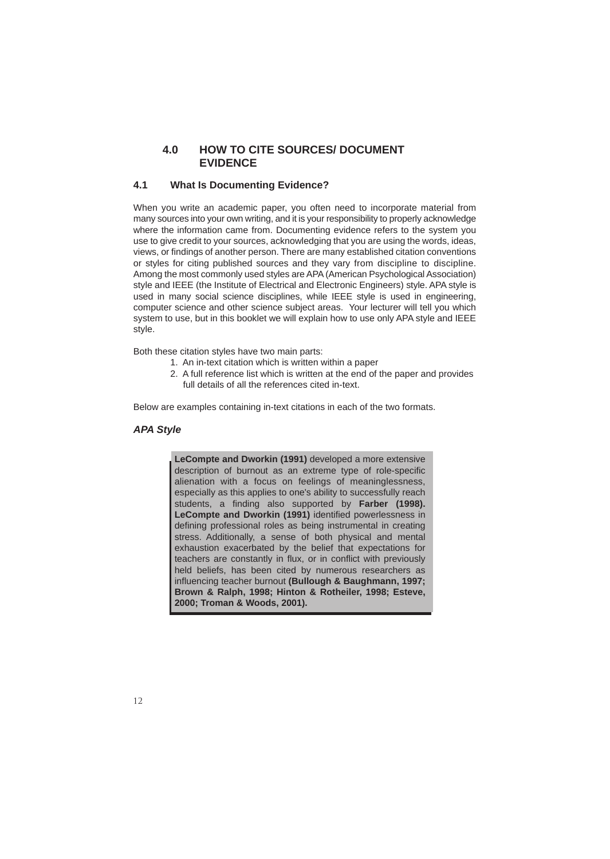### **4.0 HOW TO CITE SOURCES/ DOCUMENT EVIDENCE**

### **4.1 What Is Documenting Evidence?**

When you write an academic paper, you often need to incorporate material from many sources into your own writing, and it is your responsibility to properly acknowledge where the information came from. Documenting evidence refers to the system you use to give credit to your sources, acknowledging that you are using the words, ideas, views, or findings of another person. There are many established citation conventions or styles for citing published sources and they vary from discipline to discipline. Among the most commonly used styles are APA (American Psychological Association) style and IEEE (the Institute of Electrical and Electronic Engineers) style. APA style is used in many social science disciplines, while IEEE style is used in engineering, computer science and other science subject areas. Your lecturer will tell you which system to use, but in this booklet we will explain how to use only APA style and IEEE style.

Both these citation styles have two main parts:

- 1. An in-text citation which is written within a paper
- 2. A full reference list which is written at the end of the paper and provides full details of all the references cited in-text.

Below are examples containing in-text citations in each of the two formats.

### *APA Style*

**LeCompte and Dworkin (1991)** developed a more extensive description of burnout as an extreme type of role-specific alienation with a focus on feelings of meaninglessness, especially as this applies to one's ability to successfully reach students, a finding also supported by **Farber (1998). LeCompte and Dworkin (1991)** identified powerlessness in defining professional roles as being instrumental in creating stress. Additionally, a sense of both physical and mental exhaustion exacerbated by the belief that expectations for teachers are constantly in flux, or in conflict with previously held beliefs, has been cited by numerous researchers as influencing teacher burnout **(Bullough & Baughmann, 1997; Brown & Ralph, 1998; Hinton & Rotheiler, 1998; Esteve, 2000; Troman & Woods, 2001).**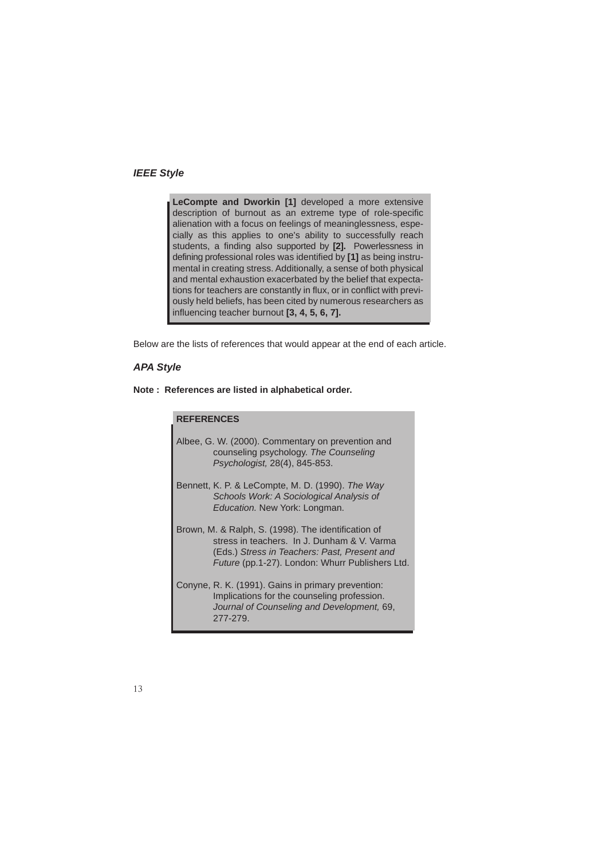### *IEEE Style*

**LeCompte and Dworkin [1]** developed a more extensive description of burnout as an extreme type of role-specific alienation with a focus on feelings of meaninglessness, especially as this applies to one's ability to successfully reach students, a finding also supported by **[2].** Powerlessness in defining professional roles was identified by **[1]** as being instrumental in creating stress. Additionally, a sense of both physical and mental exhaustion exacerbated by the belief that expectations for teachers are constantly in flux, or in conflict with previously held beliefs, has been cited by numerous researchers as influencing teacher burnout **[3, 4, 5, 6, 7].**

Below are the lists of references that would appear at the end of each article.

### *APA Style*

**Note : References are listed in alphabetical order.**

| <b>REFERENCES</b> |                                                                                                                                                                                                       |
|-------------------|-------------------------------------------------------------------------------------------------------------------------------------------------------------------------------------------------------|
|                   | Albee, G. W. (2000). Commentary on prevention and<br>counseling psychology. The Counseling<br>Psychologist, 28(4), 845-853.                                                                           |
|                   | Bennett, K. P. & LeCompte, M. D. (1990). The Way<br>Schools Work: A Sociological Analysis of<br>Education. New York: Longman.                                                                         |
|                   | Brown, M. & Ralph, S. (1998). The identification of<br>stress in teachers. In J. Dunham & V. Varma<br>(Eds.) Stress in Teachers: Past, Present and<br>Future (pp.1-27). London: Whurr Publishers Ltd. |
|                   | Conyne, R. K. (1991). Gains in primary prevention:<br>Implications for the counseling profession.<br>Journal of Counseling and Development, 69,<br>277-279.                                           |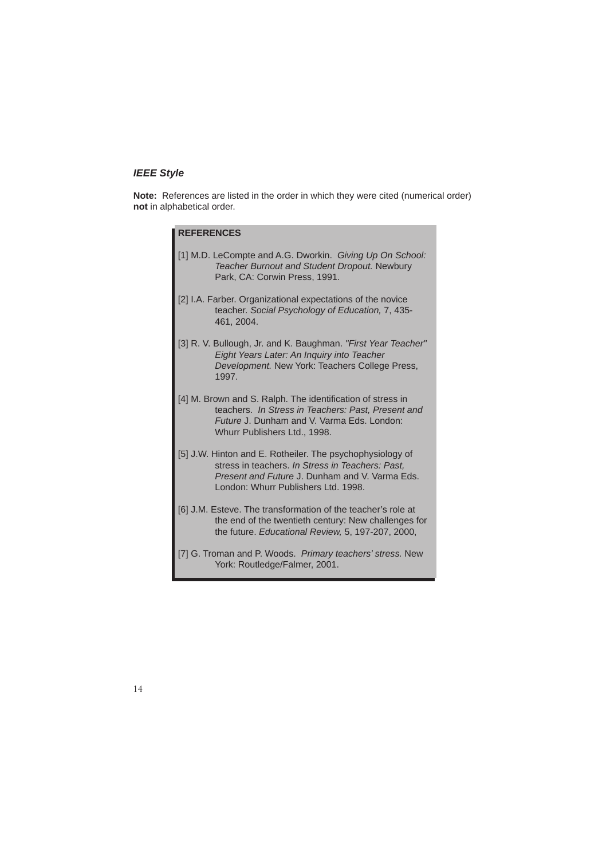### *IEEE Style*

**Note:** References are listed in the order in which they were cited (numerical order) **not** in alphabetical order.

| <b>REFERENCES</b>                                                                                                                                                                                      |  |  |
|--------------------------------------------------------------------------------------------------------------------------------------------------------------------------------------------------------|--|--|
| [1] M.D. LeCompte and A.G. Dworkin. Giving Up On School:<br><b>Teacher Burnout and Student Dropout. Newbury</b><br>Park, CA: Corwin Press, 1991.                                                       |  |  |
| [2] I.A. Farber. Organizational expectations of the novice<br>teacher. Social Psychology of Education, 7, 435-<br>461.2004.                                                                            |  |  |
| [3] R. V. Bullough, Jr. and K. Baughman. "First Year Teacher"<br>Eight Years Later: An Inquiry into Teacher<br>Development. New York: Teachers College Press,<br>1997.                                 |  |  |
| [4] M. Brown and S. Ralph. The identification of stress in<br>teachers. In Stress in Teachers: Past, Present and<br>Future J. Dunham and V. Varma Eds. London:<br>Whurr Publishers Ltd., 1998.         |  |  |
| [5] J.W. Hinton and E. Rotheiler. The psychophysiology of<br>stress in teachers. In Stress in Teachers: Past,<br>Present and Future J. Dunham and V. Varma Eds.<br>London: Whurr Publishers Ltd. 1998. |  |  |
| [6] J.M. Esteve. The transformation of the teacher's role at<br>the end of the twentieth century: New challenges for<br>the future. Educational Review, 5, 197-207, 2000,                              |  |  |
| [7] G. Troman and P. Woods. Primary teachers' stress. New<br>York: Routledge/Falmer, 2001.                                                                                                             |  |  |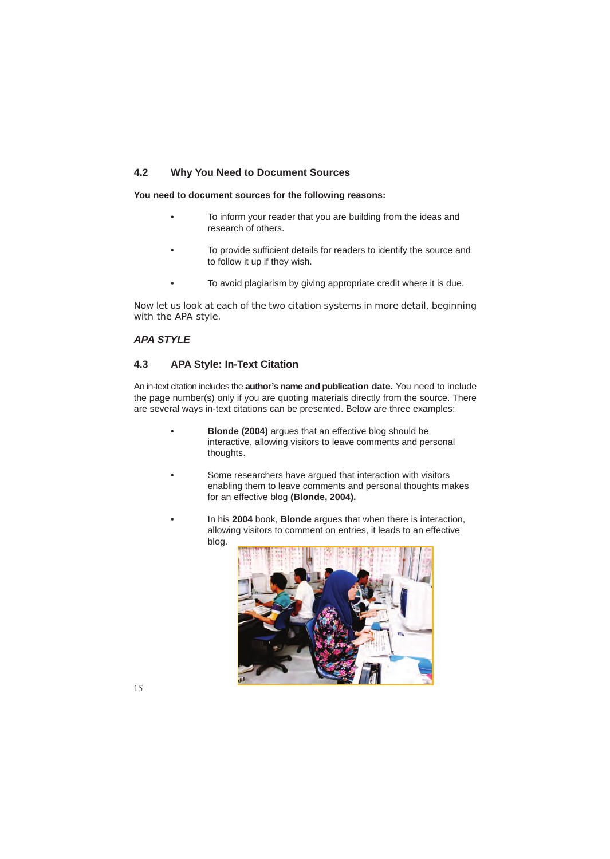### **4.2 Why You Need to Document Sources**

**You need to document sources for the following reasons:**

- To inform your reader that you are building from the ideas and research of others.
- To provide sufficient details for readers to identify the source and to follow it up if they wish.
- To avoid plagiarism by giving appropriate credit where it is due.

Now let us look at each of the two citation systems in more detail, beginning with the APA style.

### *APA STYLE*

### **4.3 APA Style: In-Text Citation**

An in-text citation includes the **author's name and publication date.** You need to include the page number(s) only if you are quoting materials directly from the source. There are several ways in-text citations can be presented. Below are three examples:

- **Blonde (2004)** argues that an effective blog should be interactive, allowing visitors to leave comments and personal thoughts.
- Some researchers have argued that interaction with visitors enabling them to leave comments and personal thoughts makes for an effective blog **(Blonde, 2004).**
- In his **2004** book, **Blonde** argues that when there is interaction, allowing visitors to comment on entries, it leads to an effective blog.

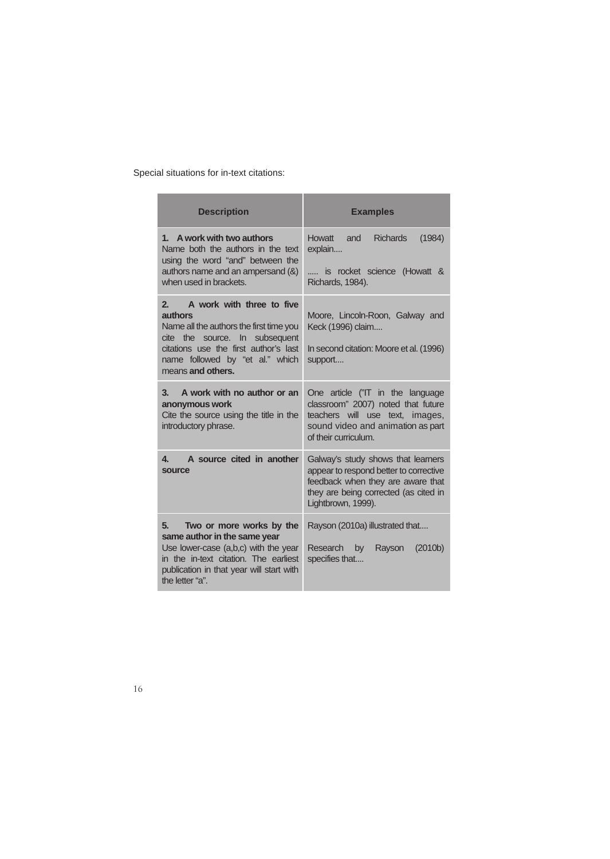Special situations for in-text citations:

| <b>Description</b>                                                                                                                                                                                                       | <b>Examples</b>                                                                                                                                                                  |  |
|--------------------------------------------------------------------------------------------------------------------------------------------------------------------------------------------------------------------------|----------------------------------------------------------------------------------------------------------------------------------------------------------------------------------|--|
| 1. A work with two authors<br>Name both the authors in the text<br>using the word "and" between the<br>authors name and an ampersand (&)<br>when used in brackets.                                                       | Howatt<br><b>Richards</b><br>and<br>(1984)<br>explain<br>is rocket science (Howatt &<br>Richards, 1984).                                                                         |  |
| 2.<br>A work with three to five<br>authors<br>Name all the authors the first time you<br>cite the source. In subsequent<br>citations use the first author's last<br>name followed by "et al." which<br>means and others. | Moore, Lincoln-Roon, Galway and<br>Keck (1996) claim<br>In second citation: Moore et al. (1996)<br>support                                                                       |  |
| A work with no author or an<br>3.<br>anonymous work<br>Cite the source using the title in the<br>introductory phrase.                                                                                                    | One article ("IT in the language<br>classroom" 2007) noted that future<br>teachers will use text, images,<br>sound video and animation as part<br>of their curriculum.           |  |
| A source cited in another<br>4.<br>source                                                                                                                                                                                | Galway's study shows that learners<br>appear to respond better to corrective<br>feedback when they are aware that<br>they are being corrected (as cited in<br>Lightbrown, 1999). |  |
| 5.<br>Two or more works by the<br>same author in the same year<br>Use lower-case (a,b,c) with the year<br>in the in-text citation. The earliest<br>publication in that year will start with<br>the letter "a".           | Rayson (2010a) illustrated that<br>Research<br>Rayson<br>(2010 <sub>b</sub> )<br>by<br>specifies that                                                                            |  |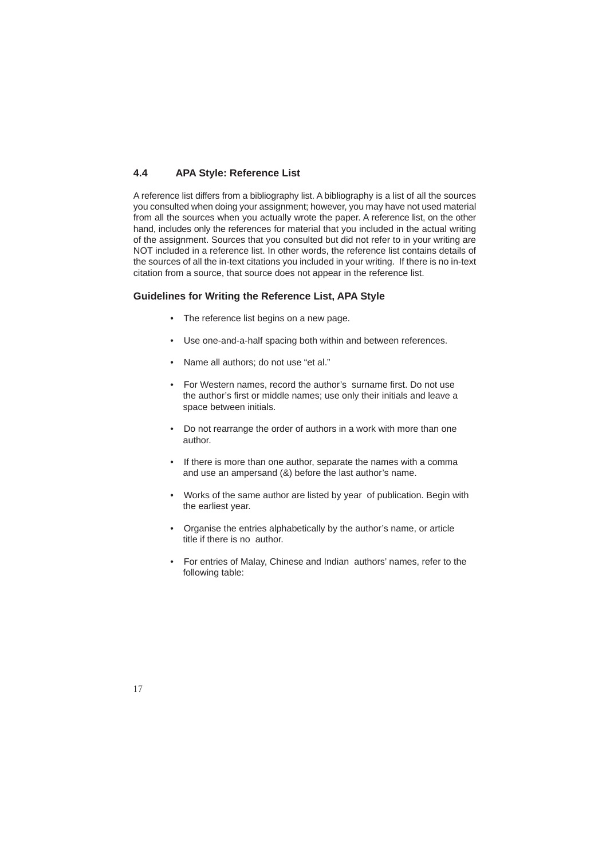### **4.4 APA Style: Reference List**

A reference list differs from a bibliography list. A bibliography is a list of all the sources you consulted when doing your assignment; however, you may have not used material from all the sources when you actually wrote the paper. A reference list, on the other hand, includes only the references for material that you included in the actual writing of the assignment. Sources that you consulted but did not refer to in your writing are NOT included in a reference list. In other words, the reference list contains details of the sources of all the in-text citations you included in your writing. If there is no in-text citation from a source, that source does not appear in the reference list.

### **Guidelines for Writing the Reference List, APA Style**

- The reference list begins on a new page.
- Use one-and-a-half spacing both within and between references.
- Name all authors; do not use "et al."
- For Western names, record the author's surname first. Do not use the author's first or middle names; use only their initials and leave a space between initials.
- Do not rearrange the order of authors in a work with more than one author.
- If there is more than one author, separate the names with a comma and use an ampersand (&) before the last author's name.
- Works of the same author are listed by year of publication. Begin with the earliest year.
- Organise the entries alphabetically by the author's name, or article title if there is no author.
- For entries of Malay, Chinese and Indian authors' names, refer to the following table: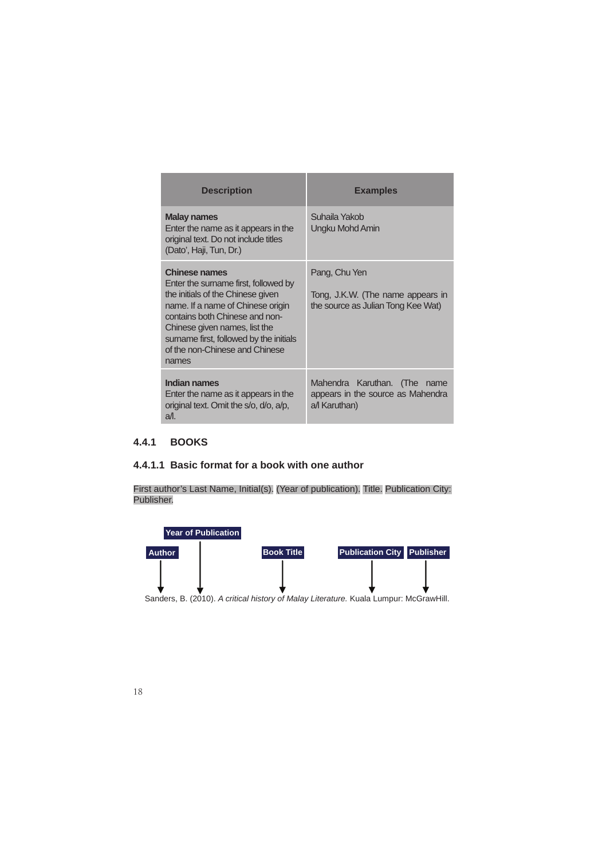| <b>Description</b>                                                                                                                                                                                                                                                                              | <b>Examples</b>                                                                          |  |
|-------------------------------------------------------------------------------------------------------------------------------------------------------------------------------------------------------------------------------------------------------------------------------------------------|------------------------------------------------------------------------------------------|--|
| <b>Malay names</b><br>Enter the name as it appears in the<br>original text. Do not include titles<br>(Dato', Haji, Tun, Dr.)                                                                                                                                                                    | Suhaila Yakob<br>Ungku Mohd Amin                                                         |  |
| <b>Chinese names</b><br>Enter the surname first, followed by<br>the initials of the Chinese given<br>name. If a name of Chinese origin<br>contains both Chinese and non-<br>Chinese given names, list the<br>surname first, followed by the initials<br>of the non-Chinese and Chinese<br>names | Pang, Chu Yen<br>Tong, J.K.W. (The name appears in<br>the source as Julian Tong Kee Wat) |  |
| Indian names<br>Enter the name as it appears in the<br>original text. Omit the s/o, d/o, a/p,<br>$a$ /l.                                                                                                                                                                                        | Mahendra Karuthan. (The name<br>appears in the source as Mahendra<br>a/l Karuthan)       |  |

### **4.4.1 BOOKS**

### **4.4.1.1 Basic format for a book with one author**

First author's Last Name, Initial(s). (Year of publication). Title. Publication City: Publisher.

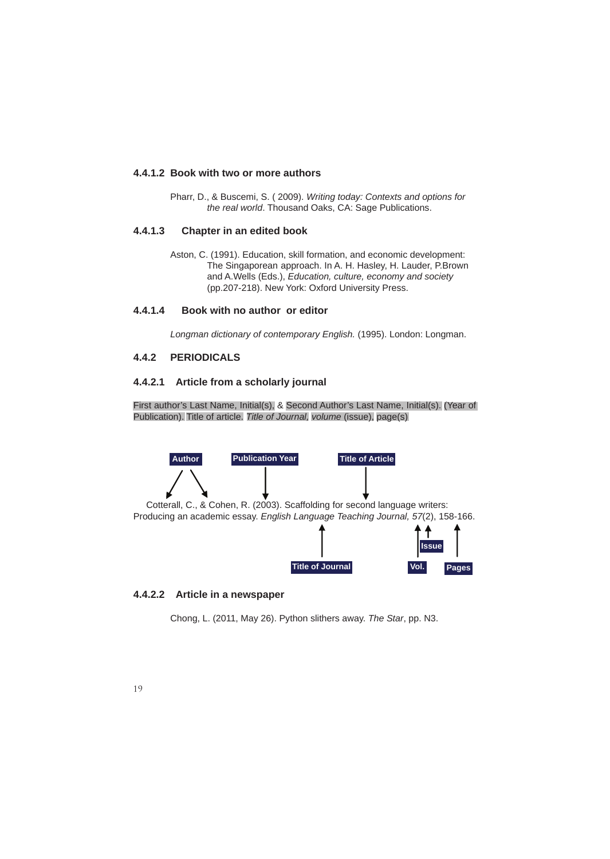### **4.4.1.2 Book with two or more authors**

 Pharr, D., & Buscemi, S. ( 2009). *Writing today: Contexts and options for the real world*. Thousand Oaks, CA: Sage Publications.

### **4.4.1.3 Chapter in an edited book**

 Aston, C. (1991). Education, skill formation, and economic development: The Singaporean approach. In A. H. Hasley, H. Lauder, P.Brown and A.Wells (Eds.), *Education, culture, economy and society*  (pp.207-218). New York: Oxford University Press.

### **4.4.1.4 Book with no author or editor**

*Longman dictionary of contemporary English.* (1995). London: Longman.

### **4.4.2 PERIODICALS**

### **4.4.2.1 Article from a scholarly journal**

First author's Last Name, Initial(s), & Second Author's Last Name, Initial(s). (Year of Publication). Title of article. *Title of Journal, volume* (issue), page(s)



### **4.4.2.2 Article in a newspaper**

Chong, L. (2011, May 26). Python slithers away. *The Star*, pp. N3.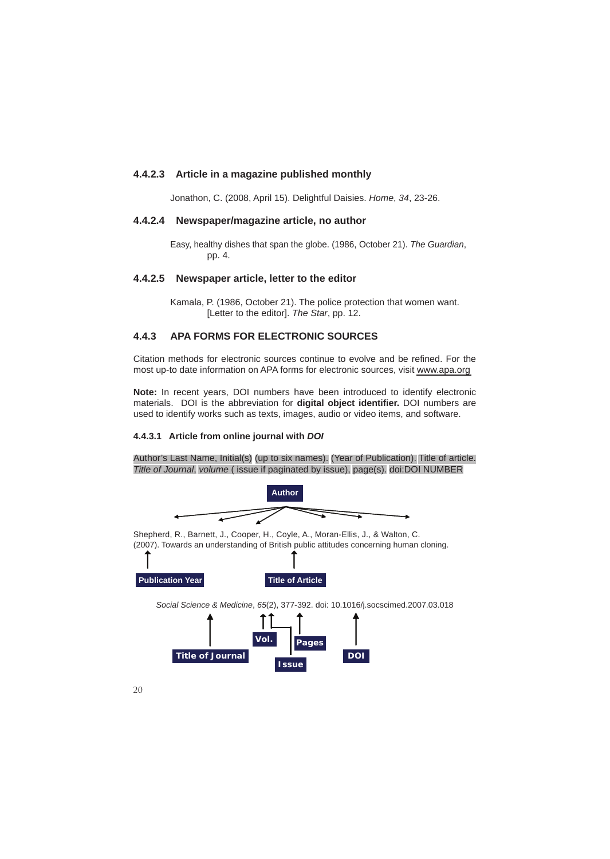### **4.4.2.3 Article in a magazine published monthly**

Jonathon, C. (2008, April 15). Delightful Daisies. *Home*, *34*, 23-26.

### **4.4.2.4 Newspaper/magazine article, no author**

 Easy, healthy dishes that span the globe. (1986, October 21). *The Guardian*, pp. 4.

### **4.4.2.5 Newspaper article, letter to the editor**

 Kamala, P. (1986, October 21). The police protection that women want. [Letter to the editor]. *The Star*, pp. 12.

### **4.4.3 APA FORMS FOR ELECTRONIC SOURCES**

Citation methods for electronic sources continue to evolve and be refined. For the most up-to date information on APA forms for electronic sources, visit www.apa.org

**Note:** In recent years, DOI numbers have been introduced to identify electronic materials. DOI is the abbreviation for **digital object identifier.** DOI numbers are used to identify works such as texts, images, audio or video items, and software.

### **4.4.3.1 Article from online journal with** *DOI*

Author's Last Name, Initial(s) (up to six names). (Year of Publication). Title of article. *Title of Journal*, *volume* ( issue if paginated by issue), page(s). doi:DOI NUMBER

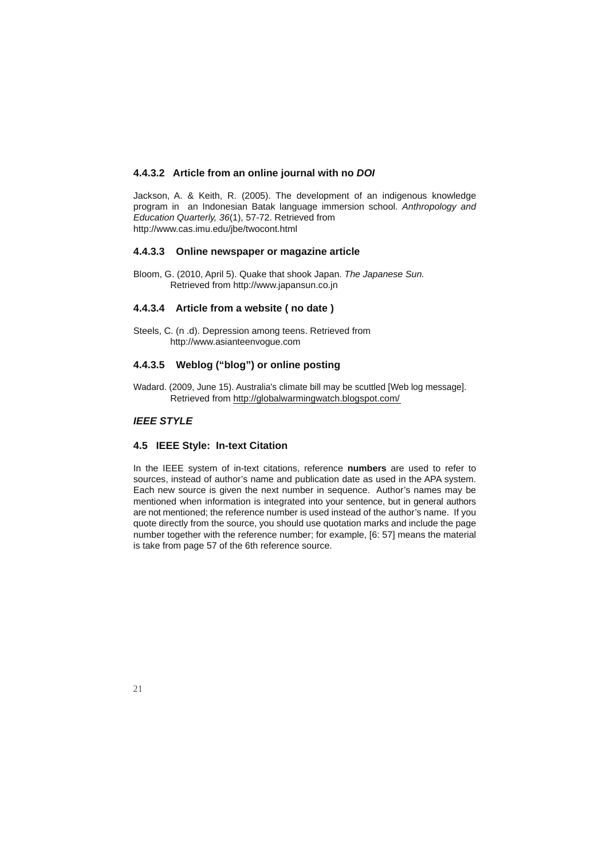### **4.4.3.2 Article from an online journal with no** *DOI*

Jackson, A. & Keith, R. (2005). The development of an indigenous knowledge program in an Indonesian Batak language immersion school. *Anthropology and Education Quarterly, 36*(1), 57-72. Retrieved from http://www.cas.imu.edu/jbe/twocont.html

### **4.4.3.3 Online newspaper or magazine article**

Bloom, G. (2010, April 5). Quake that shook Japan. *The Japanese Sun.*  Retrieved from http://www.japansun.co.jn

### **4.4.3.4 Article from a website ( no date )**

Steels, C. (n .d). Depression among teens. Retrieved from http://www.asianteenvogue.com

### **4.4.3.5 Weblog ("blog") or online posting**

Wadard. (2009, June 15). Australia's climate bill may be scuttled [Web log message]. Retrieved from http://globalwarmingwatch.blogspot.com/

### *IEEE STYLE*

### **4.5 IEEE Style: In-text Citation**

In the IEEE system of in-text citations, reference **numbers** are used to refer to sources, instead of author's name and publication date as used in the APA system. Each new source is given the next number in sequence. Author's names may be mentioned when information is integrated into your sentence, but in general authors are not mentioned; the reference number is used instead of the author's name. If you quote directly from the source, you should use quotation marks and include the page number together with the reference number; for example, [6: 57] means the material is take from page 57 of the 6th reference source.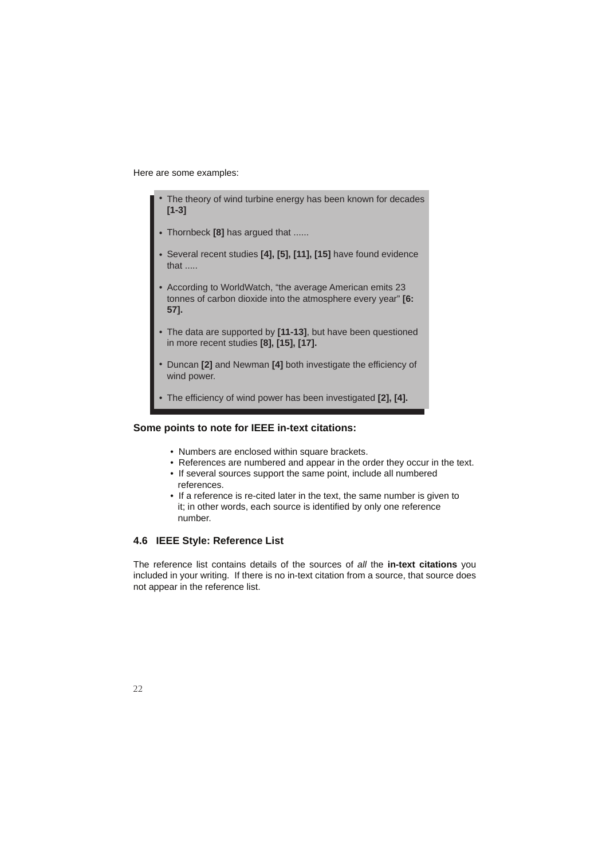Here are some examples:

- The theory of wind turbine energy has been known for decades **[1-3]** •
- Thornbeck **[8]** has argued that ...... •
- Several recent studies **[4], [5], [11], [15]** have found evidence that .....
- According to WorldWatch, "the average American emits 23 tonnes of carbon dioxide into the atmosphere every year" **[6: 57].**
- The data are supported by **[11-13]**, but have been questioned in more recent studies **[8], [15], [17].** •
- Duncan **[2]** and Newman **[4]** both investigate the efficiency of wind power. •
- The efficiency of wind power has been investigated **[2], [4].** •

### **Some points to note for IEEE in-text citations:**

- Numbers are enclosed within square brackets.
- References are numbered and appear in the order they occur in the text.
- If several sources support the same point, include all numbered references.
- If a reference is re-cited later in the text, the same number is given to it; in other words, each source is identified by only one reference number.

### **4.6 IEEE Style: Reference List**

The reference list contains details of the sources of *all* the **in-text citations** you included in your writing. If there is no in-text citation from a source, that source does not appear in the reference list.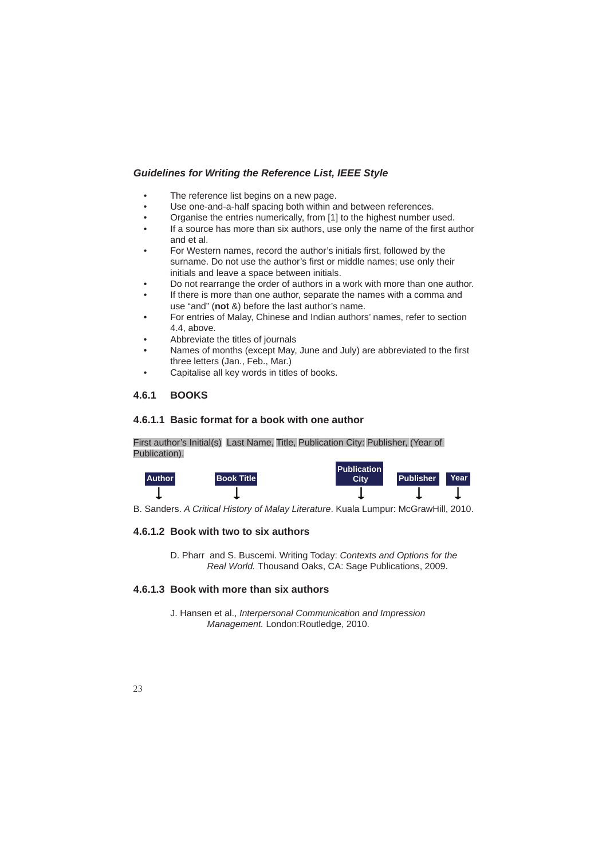### *Guidelines for Writing the Reference List, IEEE Style*

- The reference list begins on a new page.
- Use one-and-a-half spacing both within and between references.
- Organise the entries numerically, from [1] to the highest number used.
- If a source has more than six authors, use only the name of the first author and et al.
- For Western names, record the author's initials first, followed by the surname. Do not use the author's first or middle names; use only their initials and leave a space between initials.
- Do not rearrange the order of authors in a work with more than one author.
- If there is more than one author, separate the names with a comma and use "and" (**not** &) before the last author's name.
- For entries of Malay, Chinese and Indian authors' names, refer to section 4.4, above.
- Abbreviate the titles of journals
- Names of months (except May, June and July) are abbreviated to the first three letters (Jan., Feb., Mar.)
- Capitalise all key words in titles of books.

### **4.6.1 BOOKS**

### **4.6.1.1 Basic format for a book with one author**

First author's Initial(s) Last Name, Title, Publication City: Publisher, (Year of Publication).



B. Sanders. *A Critical History of Malay Literature*. Kuala Lumpur: McGrawHill, 2010.

### **4.6.1.2 Book with two to six authors**

 D. Pharr and S. Buscemi. Writing Today: *Contexts and Options for the Real World.* Thousand Oaks, CA: Sage Publications, 2009.

### **4.6.1.3 Book with more than six authors**

 J. Hansen et al., *Interpersonal Communication and Impression Management.* London:Routledge, 2010.

### $2<sup>2</sup>$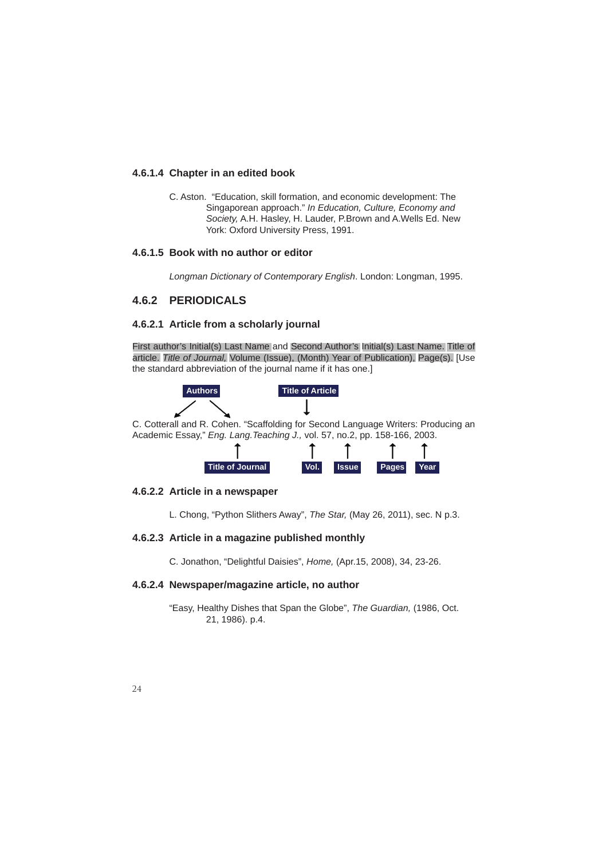### **4.6.1.4 Chapter in an edited book**

 C. Aston. "Education, skill formation, and economic development: The Singaporean approach." *In Education, Culture, Economy and Society,* A.H. Hasley, H. Lauder, P.Brown and A.Wells Ed. New York: Oxford University Press, 1991.

### **4.6.1.5 Book with no author or editor**

*Longman Dictionary of Contemporary English*. London: Longman, 1995.

### **4.6.2 PERIODICALS**

### **4.6.2.1 Article from a scholarly journal**

First author's Initial(s) Last Name and Second Author's Initial(s) Last Name. Title of article. *Title of Journal,* Volume (Issue), (Month) Year of Publication), Page(s). [Use the standard abbreviation of the journal name if it has one.]



C. Cotterall and R. Cohen. "Scaffolding for Second Language Writers: Producing an Academic Essay," *Eng. Lang.Teaching J.,* vol. 57, no.2, pp. 158-166, 2003.



### **4.6.2.2 Article in a newspaper**

L. Chong, "Python Slithers Away", *The Star,* (May 26, 2011), sec. N p.3.

### **4.6.2.3 Article in a magazine published monthly**

C. Jonathon, "Delightful Daisies", *Home,* (Apr.15, 2008), 34, 23-26.

### **4.6.2.4 Newspaper/magazine article, no author**

 "Easy, Healthy Dishes that Span the Globe", *The Guardian,* (1986, Oct. 21, 1986). p.4.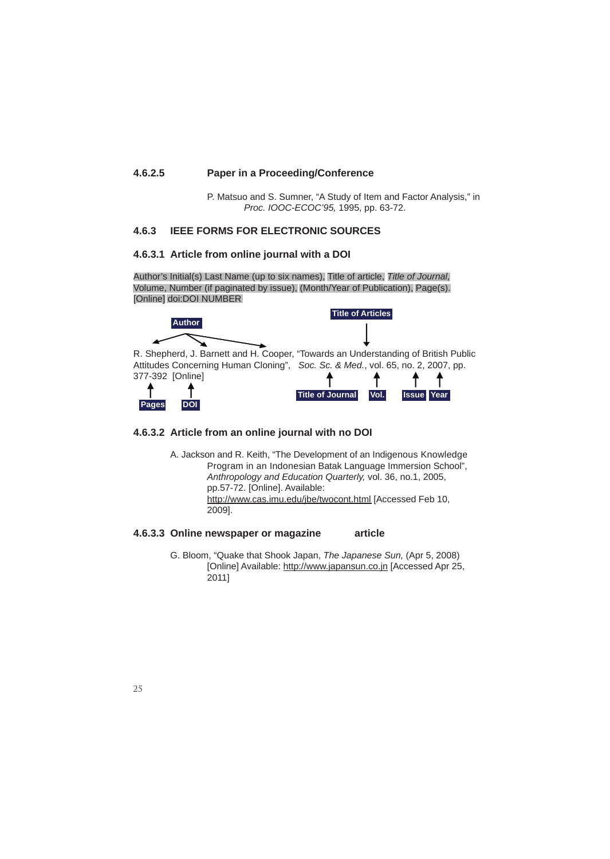### **4.6.2.5 Paper in a Proceeding/Conference**

 P. Matsuo and S. Sumner, "A Study of Item and Factor Analysis," in *Proc. IOOC-ECOC'95,* 1995, pp. 63-72.

### **4.6.3 IEEE FORMS FOR ELECTRONIC SOURCES**

### **4.6.3.1 Article from online journal with a DOI**

Author's Initial(s) Last Name (up to six names), Title of article, *Title of Journal,* Volume, Number (if paginated by issue), (Month/Year of Publication), Page(s). [Online] doi:DOI NUMBER



R. Shepherd, J. Barnett and H. Cooper, "Towards an Understanding of British Public Attitudes Concerning Human Cloning", *Soc. Sc. & Med.*, vol. 65, no. 2, 2007, pp. 377-392 [Online]





### **4.6.3.2 Article from an online journal with no DOI**

 A. Jackson and R. Keith, "The Development of an Indigenous Knowledge Program in an Indonesian Batak Language Immersion School", *Anthropology and Education Quarterly,* vol. 36, no.1, 2005, pp.57-72. [Online]. Available: http://www.cas.imu.edu/jbe/twocont.html [Accessed Feb 10, 2009].

### **4.6.3.3 Online newspaper or magazine article**

 G. Bloom, "Quake that Shook Japan, *The Japanese Sun,* (Apr 5, 2008) [Online] Available: http://www.japansun.co.jn [Accessed Apr 25, 2011]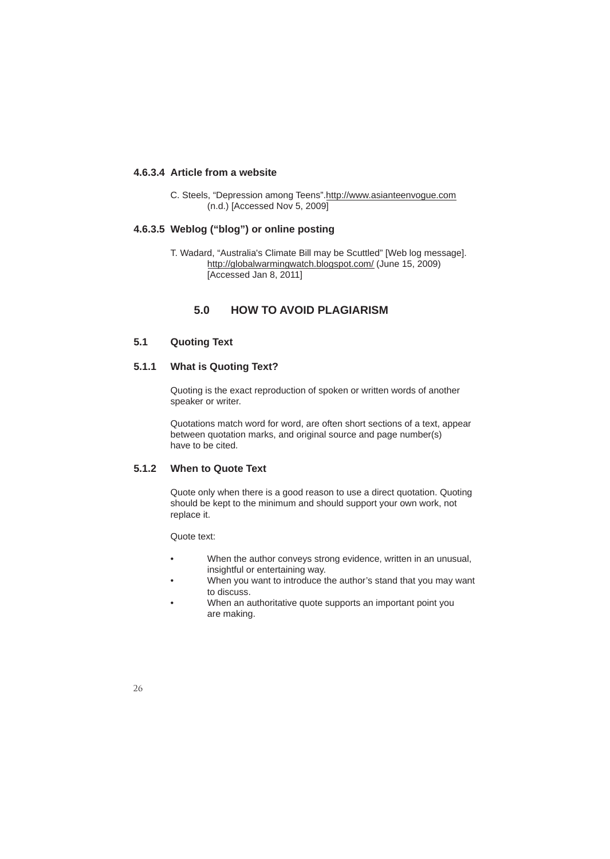### **4.6.3.4 Article from a website**

 C. Steels, "Depression among Teens".http://www.asianteenvogue.com (n.d.) [Accessed Nov 5, 2009]

### **4.6.3.5 Weblog ("blog") or online posting**

 T. Wadard, "Australia's Climate Bill may be Scuttled" [Web log message]. http://globalwarmingwatch.blogspot.com/ (June 15, 2009) [Accessed Jan 8, 2011]

### **5.0 HOW TO AVOID PLAGIARISM**

### **5.1 Quoting Text**

### **5.1.1 What is Quoting Text?**

 Quoting is the exact reproduction of spoken or written words of another speaker or writer.

 Quotations match word for word, are often short sections of a text, appear between quotation marks, and original source and page number(s) have to be cited.

### **5.1.2 When to Quote Text**

 Quote only when there is a good reason to use a direct quotation. Quoting should be kept to the minimum and should support your own work, not replace it.

Quote text:

- When the author conveys strong evidence, written in an unusual, insightful or entertaining way.
- When you want to introduce the author's stand that you may want to discuss.
- When an authoritative quote supports an important point you are making.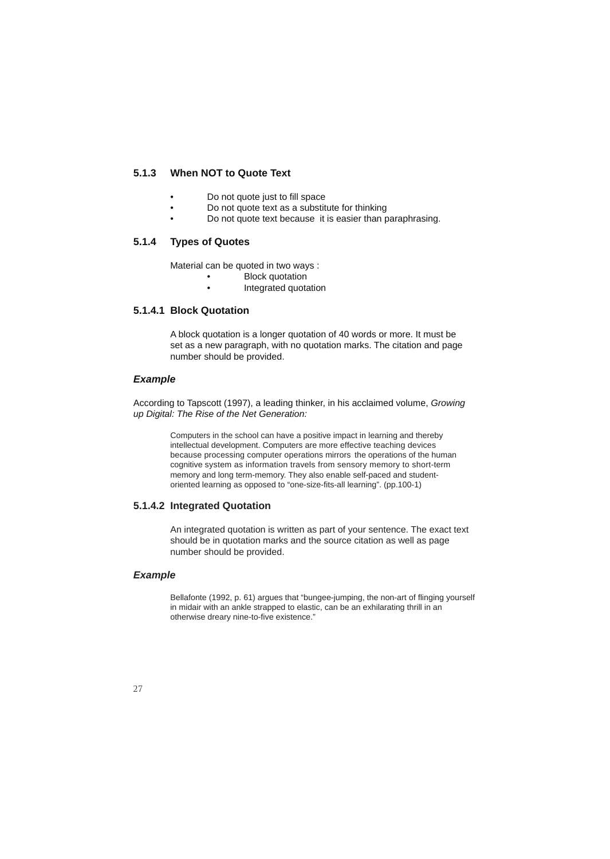### **5.1.3 When NOT to Quote Text**

- Do not quote just to fill space
- Do not quote text as a substitute for thinking
- Do not quote text because it is easier than paraphrasing.

### **5.1.4 Types of Quotes**

Material can be quoted in two ways :

- **Block quotation**
- Integrated quotation

### **5.1.4.1 Block Quotation**

 A block quotation is a longer quotation of 40 words or more. It must be set as a new paragraph, with no quotation marks. The citation and page number should be provided.

### *Example*

According to Tapscott (1997), a leading thinker, in his acclaimed volume, *Growing up Digital: The Rise of the Net Generation:*

> Computers in the school can have a positive impact in learning and thereby intellectual development. Computers are more effective teaching devices because processing computer operations mirrors the operations of the human cognitive system as information travels from sensory memory to short-term memory and long term-memory. They also enable self-paced and student oriented learning as opposed to "one-size-fits-all learning". (pp.100-1)

### **5.1.4.2 Integrated Quotation**

 An integrated quotation is written as part of your sentence. The exact text should be in quotation marks and the source citation as well as page number should be provided.

### *Example*

 Bellafonte (1992, p. 61) argues that "bungee-jumping, the non-art of flinging yourself in midair with an ankle strapped to elastic, can be an exhilarating thrill in an otherwise dreary nine-to-five existence."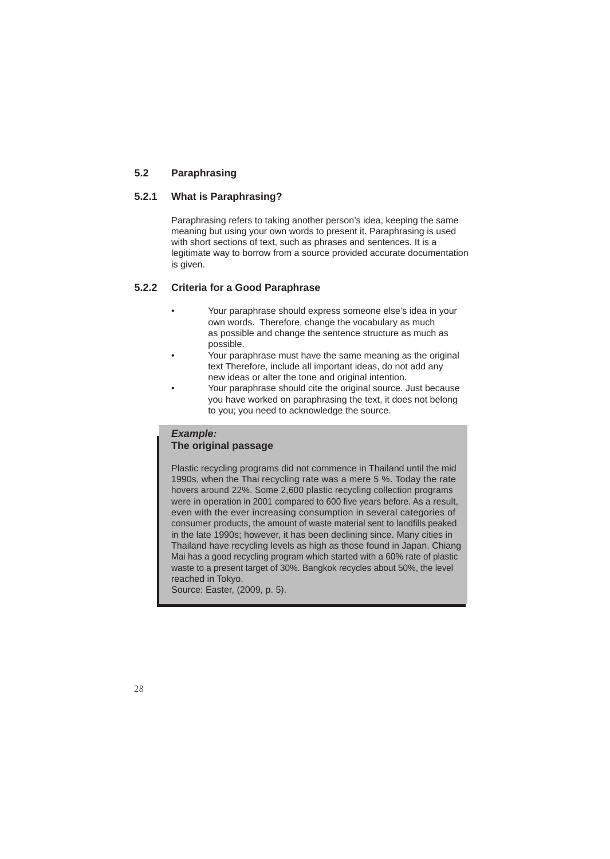### **5.2 Paraphrasing**

### **5.2.1 What is Paraphrasing?**

 Paraphrasing refers to taking another person's idea, keeping the same meaning but using your own words to present it. Paraphrasing is used with short sections of text, such as phrases and sentences. It is a legitimate way to borrow from a source provided accurate documentation is given.

### **5.2.2 Criteria for a Good Paraphrase**

- Your paraphrase should express someone else's idea in your own words. Therefore, change the vocabulary as much as possible and change the sentence structure as much as possible.
- Your paraphrase must have the same meaning as the original text Therefore, include all important ideas, do not add any new ideas or alter the tone and original intention.
- Your paraphrase should cite the original source. Just because you have worked on paraphrasing the text, it does not belong to you; you need to acknowledge the source.

### *Example:*   **The original passage**

 Plastic recycling programs did not commence in Thailand until the mid 1990s, when the Thai recycling rate was a mere 5 %. Today the rate hovers around 22%. Some 2,600 plastic recycling collection programs were in operation in 2001 compared to 600 five years before. As a result, even with the ever increasing consumption in several categories of consumer products, the amount of waste material sent to landfills peaked in the late 1990s; however, it has been declining since. Many cities in Thailand have recycling levels as high as those found in Japan. Chiang Mai has a good recycling program which started with a 60% rate of plastic waste to a present target of 30%. Bangkok recycles about 50%, the level reached in Tokyo.

Source: Easter, (2009, p. 5).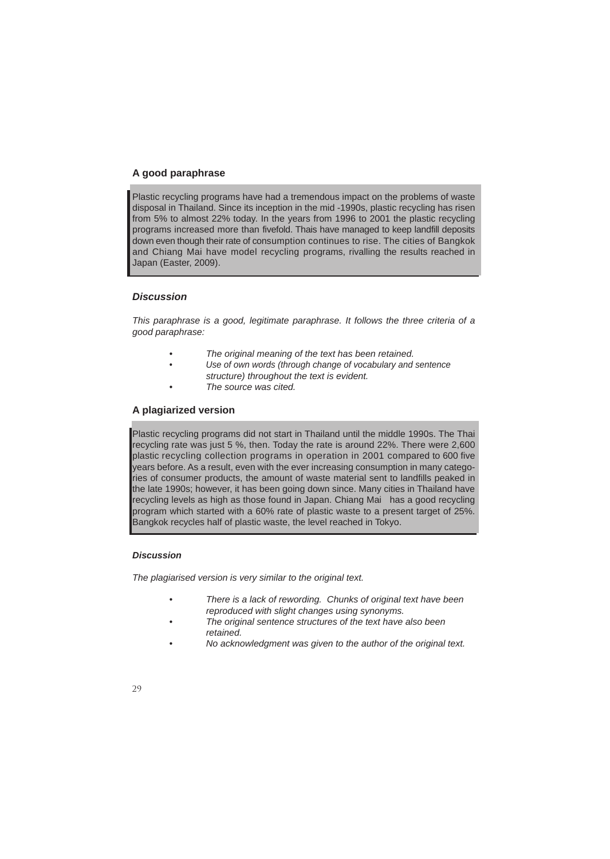### **A good paraphrase**

Plastic recycling programs have had a tremendous impact on the problems of waste disposal in Thailand. Since its inception in the mid -1990s, plastic recycling has risen from 5% to almost 22% today. In the years from 1996 to 2001 the plastic recycling programs increased more than fivefold. Thais have managed to keep landfill deposits down even though their rate of consumption continues to rise. The cities of Bangkok and Chiang Mai have model recycling programs, rivalling the results reached in Japan (Easter, 2009).

### *Discussion*

*This paraphrase is a good, legitimate paraphrase. It follows the three criteria of a good paraphrase:* 

- *The original meaning of the text has been retained.*
- *Use of own words (through change of vocabulary and sentence*
- *structure) throughout the text is evident.*
- *The source was cited.*

### **A plagiarized version**

Plastic recycling programs did not start in Thailand until the middle 1990s. The Thai recycling rate was just 5 %, then. Today the rate is around 22%. There were 2,600 plastic recycling collection programs in operation in 2001 compared to 600 five years before. As a result, even with the ever increasing consumption in many categories of consumer products, the amount of waste material sent to landfills peaked in the late 1990s; however, it has been going down since. Many cities in Thailand have recycling levels as high as those found in Japan. Chiang Mai has a good recycling program which started with a 60% rate of plastic waste to a present target of 25%. Bangkok recycles half of plastic waste, the level reached in Tokyo.

### *Discussion*

*The plagiarised version is very similar to the original text.* 

- *There is a lack of rewording. Chunks of original text have been reproduced with slight changes using synonyms.*
- *The original sentence structures of the text have also been retained.*
- *No acknowledgment was given to the author of the original text.*
- $29$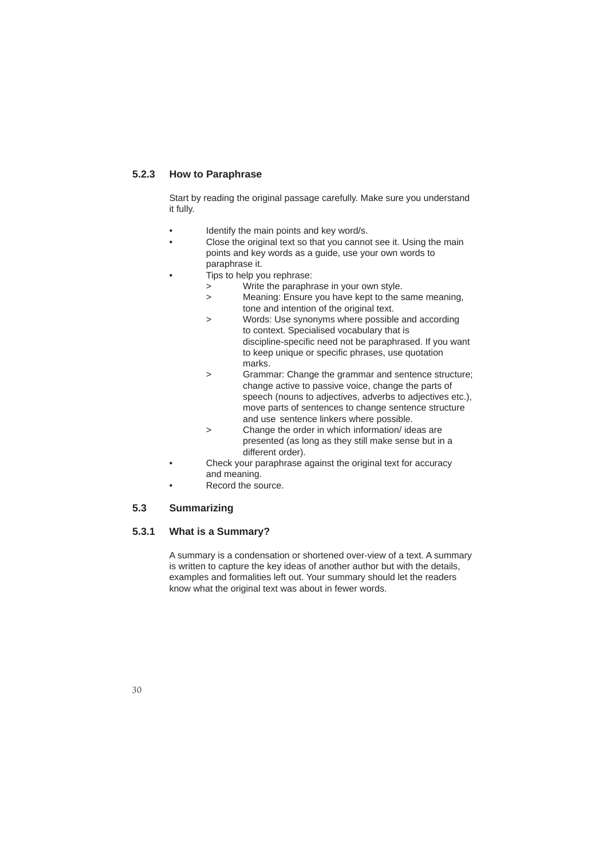### **5.2.3 How to Paraphrase**

 Start by reading the original passage carefully. Make sure you understand it fully.

- Identify the main points and key word/s.
- Close the original text so that you cannot see it. Using the main points and key words as a guide, use your own words to paraphrase it.
	- Tips to help you rephrase:
		- > Write the paraphrase in your own style.
		- > Meaning: Ensure you have kept to the same meaning, tone and intention of the original text.
		- > Words: Use synonyms where possible and according to context. Specialised vocabulary that is discipline-specific need not be paraphrased. If you want to keep unique or specific phrases, use quotation marks.
		- > Grammar: Change the grammar and sentence structure; change active to passive voice, change the parts of speech (nouns to adjectives, adverbs to adjectives etc.), move parts of sentences to change sentence structure and use sentence linkers where possible.<br>
		> Change the order in which information/ide
		- Change the order in which information/ ideas are presented (as long as they still make sense but in a different order).
- Check your paraphrase against the original text for accuracy and meaning.
- Record the source.

### **5.3 Summarizing**

### **5.3.1 What is a Summary?**

 A summary is a condensation or shortened over-view of a text. A summary is written to capture the key ideas of another author but with the details, examples and formalities left out. Your summary should let the readers know what the original text was about in fewer words.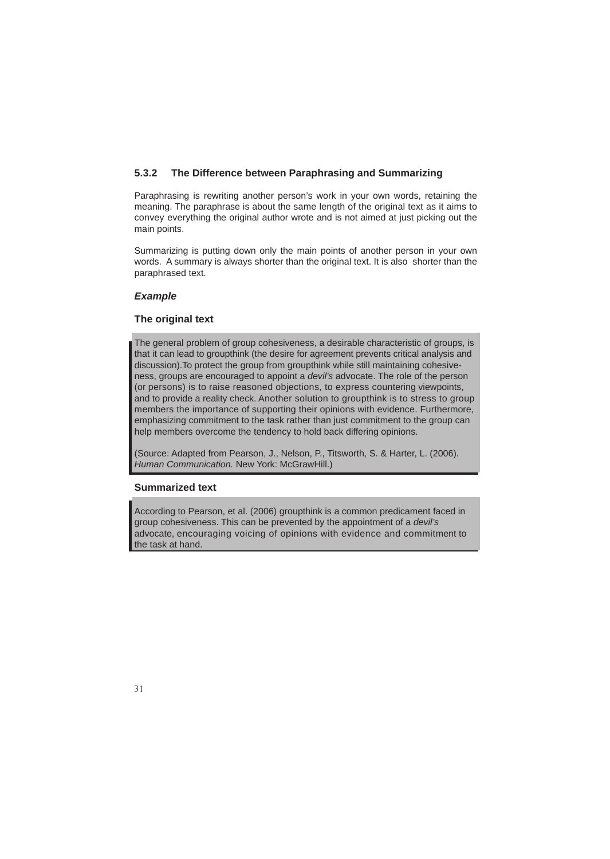### **5.3.2 The Difference between Paraphrasing and Summarizing**

Paraphrasing is rewriting another person's work in your own words, retaining the meaning. The paraphrase is about the same length of the original text as it aims to convey everything the original author wrote and is not aimed at just picking out the main points.

Summarizing is putting down only the main points of another person in your own words. A summary is always shorter than the original text. It is also shorter than the paraphrased text.

### *Example*

### **The original text**

The general problem of group cohesiveness, a desirable characteristic of groups, is that it can lead to groupthink (the desire for agreement prevents critical analysis and discussion).To protect the group from groupthink while still maintaining cohesiveness, groups are encouraged to appoint a *devil's* advocate. The role of the person (or persons) is to raise reasoned objections, to express countering viewpoints, and to provide a reality check. Another solution to groupthink is to stress to group members the importance of supporting their opinions with evidence. Furthermore, emphasizing commitment to the task rather than just commitment to the group can help members overcome the tendency to hold back differing opinions.

(Source: Adapted from Pearson, J., Nelson, P., Titsworth, S. & Harter, L. (2006). *Human Communication.* New York: McGrawHill.)

### **Summarized text**

According to Pearson, et al. (2006) groupthink is a common predicament faced in group cohesiveness. This can be prevented by the appointment of a *devil's* advocate, encouraging voicing of opinions with evidence and commitment to the task at hand.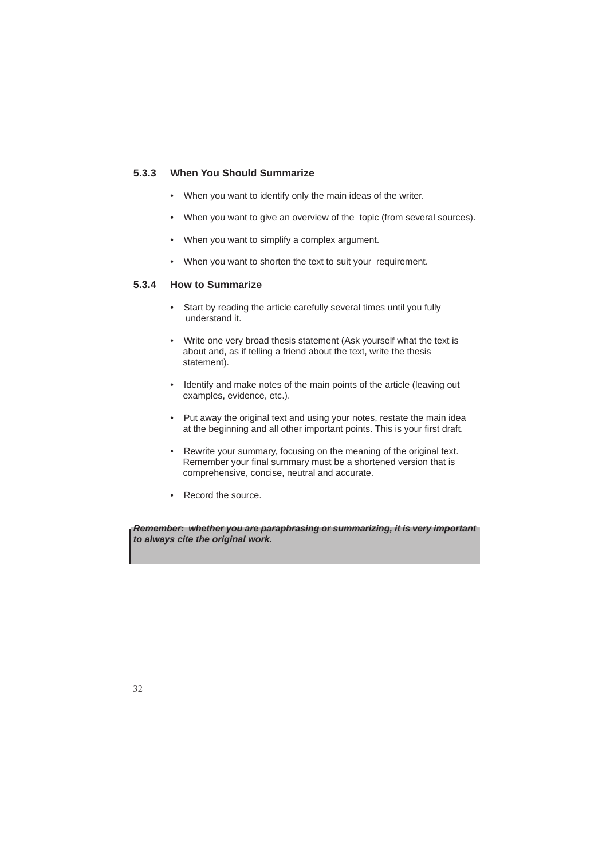### **5.3.3 When You Should Summarize**

- When you want to identify only the main ideas of the writer.
- When you want to give an overview of the topic (from several sources).
- When you want to simplify a complex argument.
- When you want to shorten the text to suit your requirement.

### **5.3.4 How to Summarize**

- Start by reading the article carefully several times until you fully understand it.
- Write one very broad thesis statement (Ask yourself what the text is about and, as if telling a friend about the text, write the thesis statement).
- Identify and make notes of the main points of the article (leaving out examples, evidence, etc.).
- Put away the original text and using your notes, restate the main idea at the beginning and all other important points. This is your first draft.
- Rewrite your summary, focusing on the meaning of the original text. Remember your final summary must be a shortened version that is comprehensive, concise, neutral and accurate.
- Record the source.

*Remember: whether you are paraphrasing or summarizing, it is very important to always cite the original work.*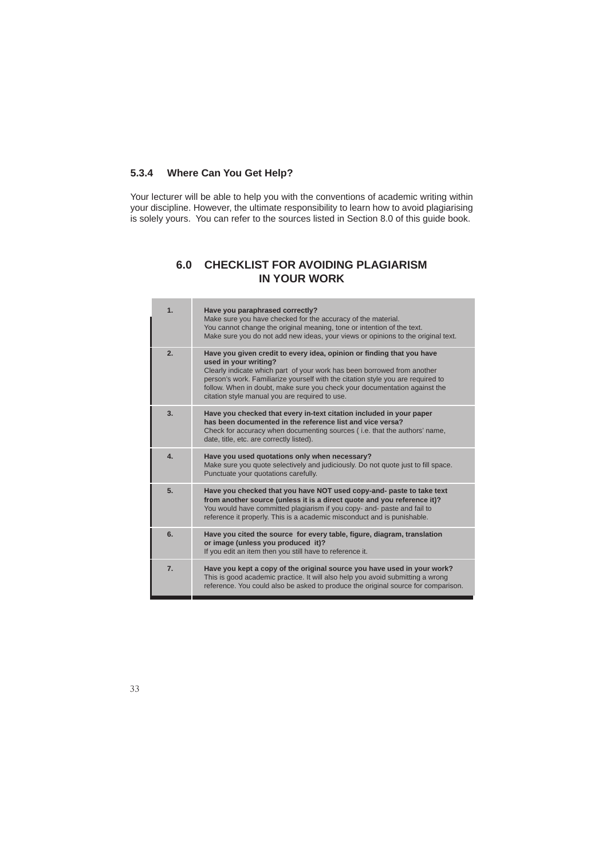### **5.3.4 Where Can You Get Help?**

Your lecturer will be able to help you with the conventions of academic writing within your discipline. However, the ultimate responsibility to learn how to avoid plagiarising is solely yours. You can refer to the sources listed in Section 8.0 of this guide book.

### **6.0 CHECKLIST FOR AVOIDING PLAGIARISM IN YOUR WORK**

|  | 1.               | Have you paraphrased correctly?<br>Make sure you have checked for the accuracy of the material.<br>You cannot change the original meaning, tone or intention of the text.<br>Make sure you do not add new ideas, your views or opinions to the original text.                                                                                                                               |
|--|------------------|---------------------------------------------------------------------------------------------------------------------------------------------------------------------------------------------------------------------------------------------------------------------------------------------------------------------------------------------------------------------------------------------|
|  | 2.               | Have you given credit to every idea, opinion or finding that you have<br>used in your writing?<br>Clearly indicate which part of your work has been borrowed from another<br>person's work. Familiarize yourself with the citation style you are required to<br>follow. When in doubt, make sure you check your documentation against the<br>citation style manual you are required to use. |
|  | 3.               | Have you checked that every in-text citation included in your paper<br>has been documented in the reference list and vice versa?<br>Check for accuracy when documenting sources (i.e. that the authors' name,<br>date, title, etc. are correctly listed).                                                                                                                                   |
|  | $\overline{4}$ . | Have you used quotations only when necessary?<br>Make sure you quote selectively and judiciously. Do not quote just to fill space.<br>Punctuate your quotations carefully.                                                                                                                                                                                                                  |
|  | 5.               | Have you checked that you have NOT used copy-and- paste to take text<br>from another source (unless it is a direct quote and you reference it)?<br>You would have committed plagiarism if you copy- and- paste and fail to<br>reference it properly. This is a academic misconduct and is punishable.                                                                                       |
|  | 6.               | Have you cited the source for every table, figure, diagram, translation<br>or image (unless you produced it)?<br>If you edit an item then you still have to reference it.                                                                                                                                                                                                                   |
|  | $\overline{7}$ . | Have you kept a copy of the original source you have used in your work?<br>This is good academic practice. It will also help you avoid submitting a wrong<br>reference. You could also be asked to produce the original source for comparison.                                                                                                                                              |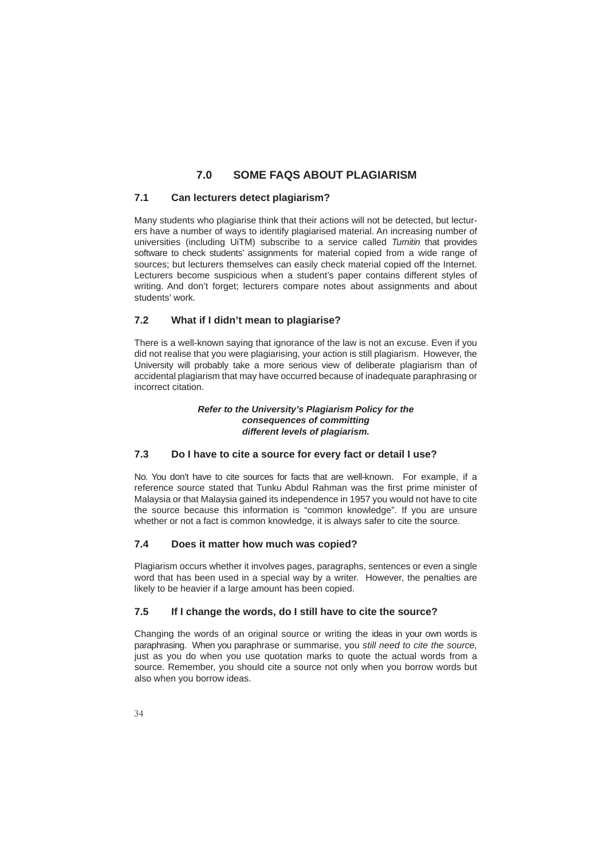### **7.0 SOME FAQS ABOUT PLAGIARISM**

### **7.1 Can lecturers detect plagiarism?**

Many students who plagiarise think that their actions will not be detected, but lecturers have a number of ways to identify plagiarised material. An increasing number of universities (including UiTM) subscribe to a service called *Turnitin* that provides software to check students' assignments for material copied from a wide range of sources; but lecturers themselves can easily check material copied off the Internet. Lecturers become suspicious when a student's paper contains different styles of writing. And don't forget; lecturers compare notes about assignments and about students' work.

### **7.2 What if I didn't mean to plagiarise?**

There is a well-known saying that ignorance of the law is not an excuse. Even if you did not realise that you were plagiarising, your action is still plagiarism. However, the University will probably take a more serious view of deliberate plagiarism than of accidental plagiarism that may have occurred because of inadequate paraphrasing or incorrect citation.

### *Refer to the University's Plagiarism Policy for the consequences of committing different levels of plagiarism.*

### **7.3 Do I have to cite a source for every fact or detail I use?**

No. You don't have to cite sources for facts that are well-known. For example, if a reference source stated that Tunku Abdul Rahman was the first prime minister of Malaysia or that Malaysia gained its independence in 1957 you would not have to cite the source because this information is "common knowledge". If you are unsure whether or not a fact is common knowledge, it is always safer to cite the source.

### **7.4 Does it matter how much was copied?**

Plagiarism occurs whether it involves pages, paragraphs, sentences or even a single word that has been used in a special way by a writer. However, the penalties are likely to be heavier if a large amount has been copied.

### **7.5 If I change the words, do I still have to cite the source?**

Changing the words of an original source or writing the ideas in your own words is paraphrasing. When you paraphrase or summarise, you *still need to cite the source,* just as you do when you use quotation marks to quote the actual words from a source. Remember, you should cite a source not only when you borrow words but also when you borrow ideas.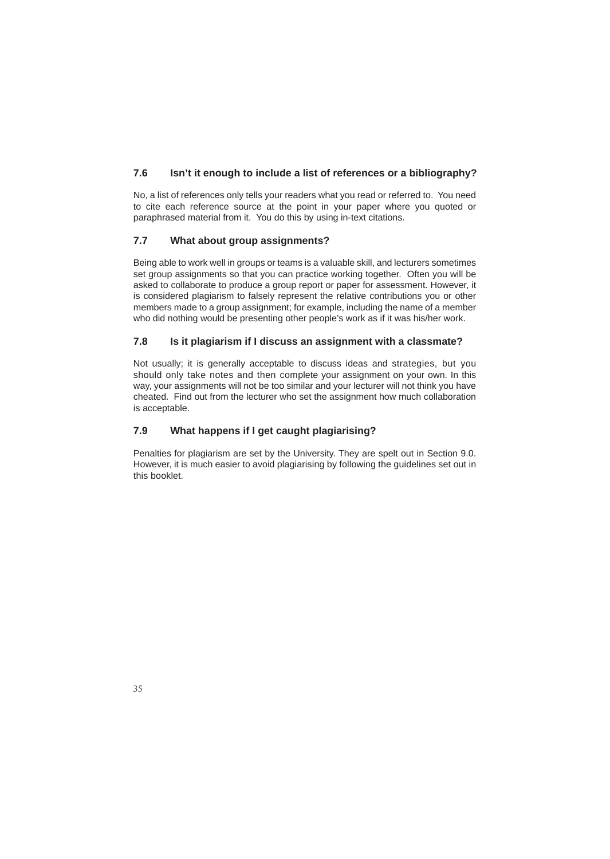### **7.6 Isn't it enough to include a list of references or a bibliography?**

No, a list of references only tells your readers what you read or referred to. You need to cite each reference source at the point in your paper where you quoted or paraphrased material from it. You do this by using in-text citations.

### **7.7 What about group assignments?**

Being able to work well in groups or teams is a valuable skill, and lecturers sometimes set group assignments so that you can practice working together. Often you will be asked to collaborate to produce a group report or paper for assessment. However, it is considered plagiarism to falsely represent the relative contributions you or other members made to a group assignment; for example, including the name of a member who did nothing would be presenting other people's work as if it was his/her work.

### **7.8 Is it plagiarism if I discuss an assignment with a classmate?**

Not usually; it is generally acceptable to discuss ideas and strategies, but you should only take notes and then complete your assignment on your own. In this way, your assignments will not be too similar and your lecturer will not think you have cheated. Find out from the lecturer who set the assignment how much collaboration is acceptable.

### **7.9 What happens if I get caught plagiarising?**

Penalties for plagiarism are set by the University. They are spelt out in Section 9.0. However, it is much easier to avoid plagiarising by following the guidelines set out in this booklet.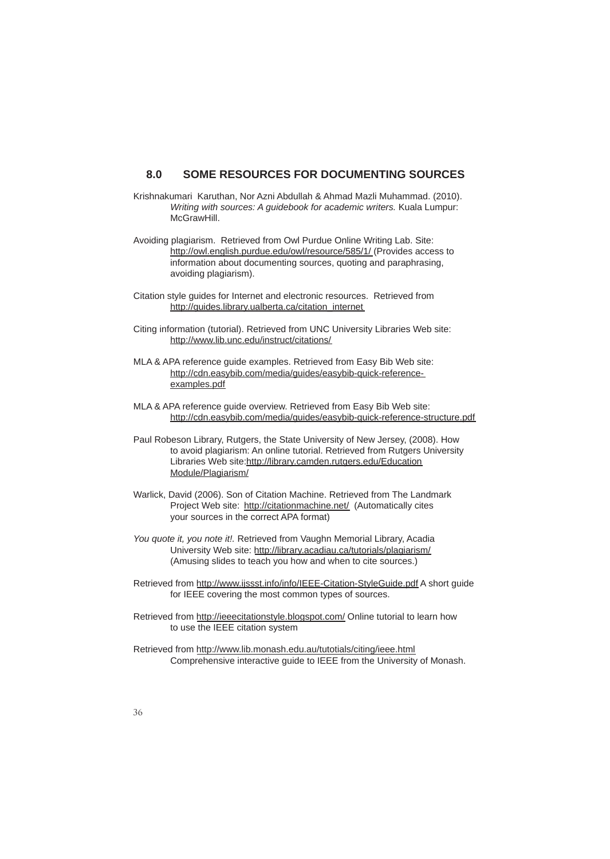### **8.0 SOME RESOURCES FOR DOCUMENTING SOURCES**

- Krishnakumari Karuthan, Nor Azni Abdullah & Ahmad Mazli Muhammad. (2010). *Writing with sources: A guidebook for academic writers.* Kuala Lumpur: McGrawHill.
- Avoiding plagiarism. Retrieved from Owl Purdue Online Writing Lab. Site: http://owl.english.purdue.edu/owl/resource/585/1/ (Provides access to information about documenting sources, quoting and paraphrasing, avoiding plagiarism).
- Citation style guides for Internet and electronic resources. Retrieved from http://guides.library.ualberta.ca/citation\_internet
- Citing information (tutorial). Retrieved from UNC University Libraries Web site: http://www.lib.unc.edu/instruct/citations/
- MLA & APA reference guide examples. Retrieved from Easy Bib Web site: http://cdn.easybib.com/media/guides/easybib-quick-reference examples.pdf
- MLA & APA reference guide overview. Retrieved from Easy Bib Web site: http://cdn.easybib.com/media/guides/easybib-quick-reference-structure.pdf
- Paul Robeson Library, Rutgers, the State University of New Jersey, (2008). How to avoid plagiarism: An online tutorial. Retrieved from Rutgers University Libraries Web site:http://library.camden.rutgers.edu/Education Module/Plagiarism/
- Warlick, David (2006). Son of Citation Machine. Retrieved from The Landmark Project Web site: http://citationmachine.net/ (Automatically cites your sources in the correct APA format)
- *You quote it, you note it!.* Retrieved from Vaughn Memorial Library, Acadia University Web site: http://library.acadiau.ca/tutorials/plagiarism/ (Amusing slides to teach you how and when to cite sources.)
- Retrieved from http://www.ijssst.info/info/IEEE-Citation-StyleGuide.pdf A short guide for IEEE covering the most common types of sources.
- Retrieved from http://ieeecitationstyle.blogspot.com/ Online tutorial to learn how to use the IEEE citation system
- Retrieved from http://www.lib.monash.edu.au/tutotials/citing/ieee.html Comprehensive interactive guide to IEEE from the University of Monash.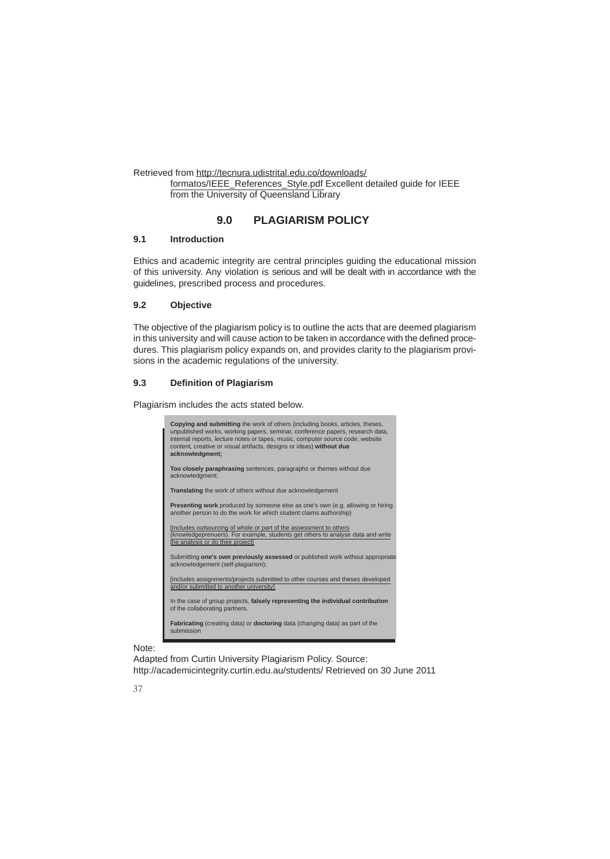Retrieved from http://tecnura.udistrital.edu.co/downloads/

 formatos/IEEE\_References\_Style.pdf Excellent detailed guide for IEEE from the University of Queensland Library

### **9.0 PLAGIARISM POLICY**

### **9.1 Introduction**

Ethics and academic integrity are central principles guiding the educational mission of this university. Any violation is serious and will be dealt with in accordance with the guidelines, prescribed process and procedures.

### **9.2 Objective**

The objective of the plagiarism policy is to outline the acts that are deemed plagiarism in this university and will cause action to be taken in accordance with the defined procedures. This plagiarism policy expands on, and provides clarity to the plagiarism provisions in the academic regulations of the university.

### **9.3 Definition of Plagiarism**

Plagiarism includes the acts stated below.



### Note:

Adapted from Curtin University Plagiarism Policy. Source: http://academicintegrity.curtin.edu.au/students/ Retrieved on 30 June 2011

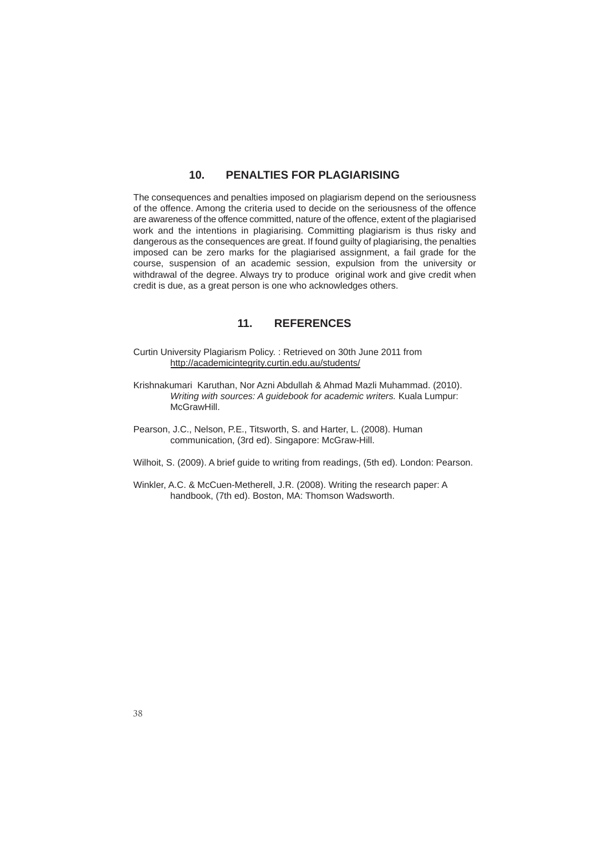### **10. PENALTIES FOR PLAGIARISING**

The consequences and penalties imposed on plagiarism depend on the seriousness of the offence. Among the criteria used to decide on the seriousness of the offence are awareness of the offence committed, nature of the offence, extent of the plagiarised work and the intentions in plagiarising. Committing plagiarism is thus risky and dangerous as the consequences are great. If found guilty of plagiarising, the penalties imposed can be zero marks for the plagiarised assignment, a fail grade for the course, suspension of an academic session, expulsion from the university or withdrawal of the degree. Always try to produce original work and give credit when credit is due, as a great person is one who acknowledges others.

### **11. REFERENCES**

- Curtin University Plagiarism Policy. : Retrieved on 30th June 2011 from http://academicintegrity.curtin.edu.au/students/
- Krishnakumari Karuthan, Nor Azni Abdullah & Ahmad Mazli Muhammad. (2010). *Writing with sources: A guidebook for academic writers.* Kuala Lumpur: McGrawHill.
- Pearson, J.C., Nelson, P.E., Titsworth, S. and Harter, L. (2008). Human communication, (3rd ed). Singapore: McGraw-Hill.
- Wilhoit, S. (2009). A brief guide to writing from readings, (5th ed). London: Pearson.
- Winkler, A.C. & McCuen-Metherell, J.R. (2008). Writing the research paper: A handbook, (7th ed). Boston, MA: Thomson Wadsworth.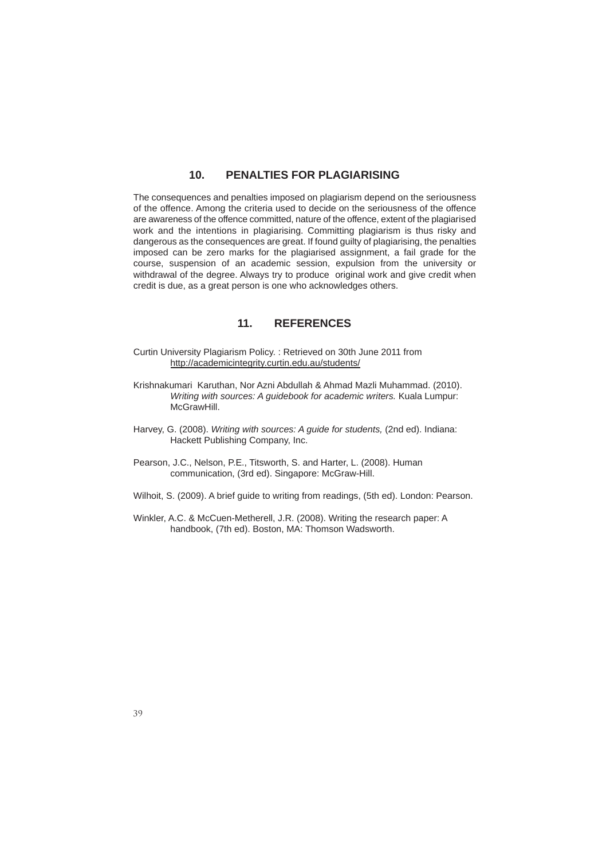### **10. PENALTIES FOR PLAGIARISING**

The consequences and penalties imposed on plagiarism depend on the seriousness of the offence. Among the criteria used to decide on the seriousness of the offence are awareness of the offence committed, nature of the offence, extent of the plagiarised work and the intentions in plagiarising. Committing plagiarism is thus risky and dangerous as the consequences are great. If found guilty of plagiarising, the penalties imposed can be zero marks for the plagiarised assignment, a fail grade for the course, suspension of an academic session, expulsion from the university or withdrawal of the degree. Always try to produce original work and give credit when credit is due, as a great person is one who acknowledges others.

### **11. REFERENCES**

- Curtin University Plagiarism Policy. : Retrieved on 30th June 2011 from http://academicintegrity.curtin.edu.au/students/
- Krishnakumari Karuthan, Nor Azni Abdullah & Ahmad Mazli Muhammad. (2010). *Writing with sources: A guidebook for academic writers.* Kuala Lumpur: McGrawHill.
- Harvey, G. (2008). *Writing with sources: A guide for students,* (2nd ed). Indiana: Hackett Publishing Company, Inc.
- Pearson, J.C., Nelson, P.E., Titsworth, S. and Harter, L. (2008). Human communication, (3rd ed). Singapore: McGraw-Hill.
- Wilhoit, S. (2009). A brief guide to writing from readings, (5th ed). London: Pearson.
- Winkler, A.C. & McCuen-Metherell, J.R. (2008). Writing the research paper: A handbook, (7th ed). Boston, MA: Thomson Wadsworth.